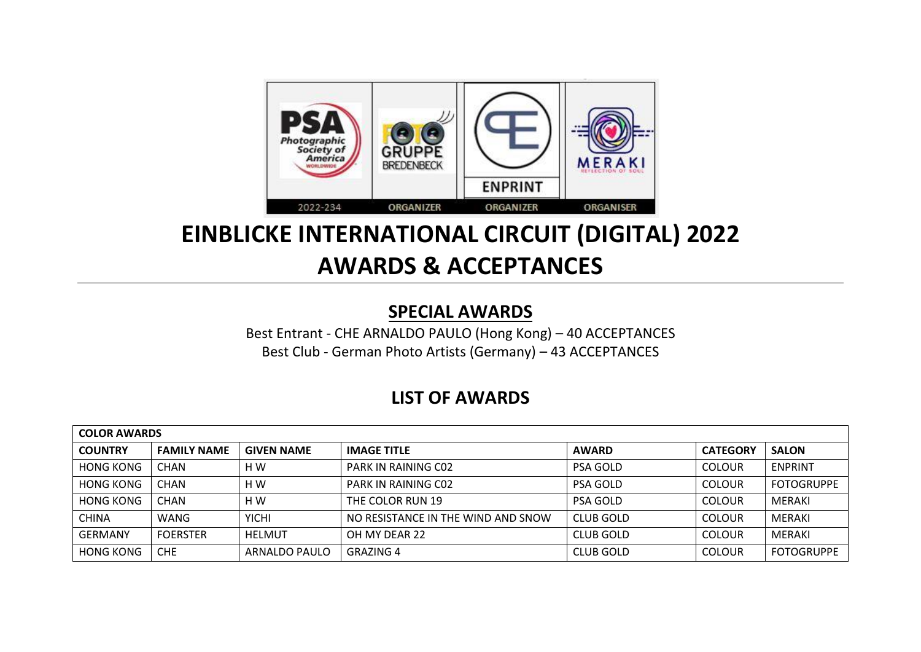

## **EINBLICKE INTERNATIONAL CIRCUIT (DIGITAL) 2022 AWARDS & ACCEPTANCES**

## **SPECIAL AWARDS**

Best Entrant - CHE ARNALDO PAULO (Hong Kong) – 40 ACCEPTANCES Best Club - German Photo Artists (Germany) – 43 ACCEPTANCES

## **LIST OF AWARDS**

| <b>COLOR AWARDS</b> |                    |                   |                                    |                 |                 |                   |  |  |
|---------------------|--------------------|-------------------|------------------------------------|-----------------|-----------------|-------------------|--|--|
| <b>COUNTRY</b>      | <b>FAMILY NAME</b> | <b>GIVEN NAME</b> | <b>IMAGE TITLE</b>                 | <b>AWARD</b>    | <b>CATEGORY</b> | <b>SALON</b>      |  |  |
| <b>HONG KONG</b>    | <b>CHAN</b>        | H W               | PARK IN RAINING CO2                | <b>PSA GOLD</b> | <b>COLOUR</b>   | <b>ENPRINT</b>    |  |  |
| <b>HONG KONG</b>    | <b>CHAN</b>        | H W               | PARK IN RAINING CO2                | PSA GOLD        | <b>COLOUR</b>   | <b>FOTOGRUPPE</b> |  |  |
| <b>HONG KONG</b>    | <b>CHAN</b>        | H W               | THE COLOR RUN 19                   | PSA GOLD        | <b>COLOUR</b>   | MERAKI            |  |  |
| CHINA               | WANG               | <b>YICHI</b>      | NO RESISTANCE IN THE WIND AND SNOW | CLUB GOLD       | <b>COLOUR</b>   | MERAKI            |  |  |
| GERMANY             | <b>FOERSTER</b>    | <b>HELMUT</b>     | OH MY DEAR 22                      | CLUB GOLD       | <b>COLOUR</b>   | MERAKI            |  |  |
| <b>HONG KONG</b>    | <b>CHE</b>         | ARNALDO PAULO     | <b>GRAZING 4</b>                   | CLUB GOLD       | <b>COLOUR</b>   | <b>FOTOGRUPPE</b> |  |  |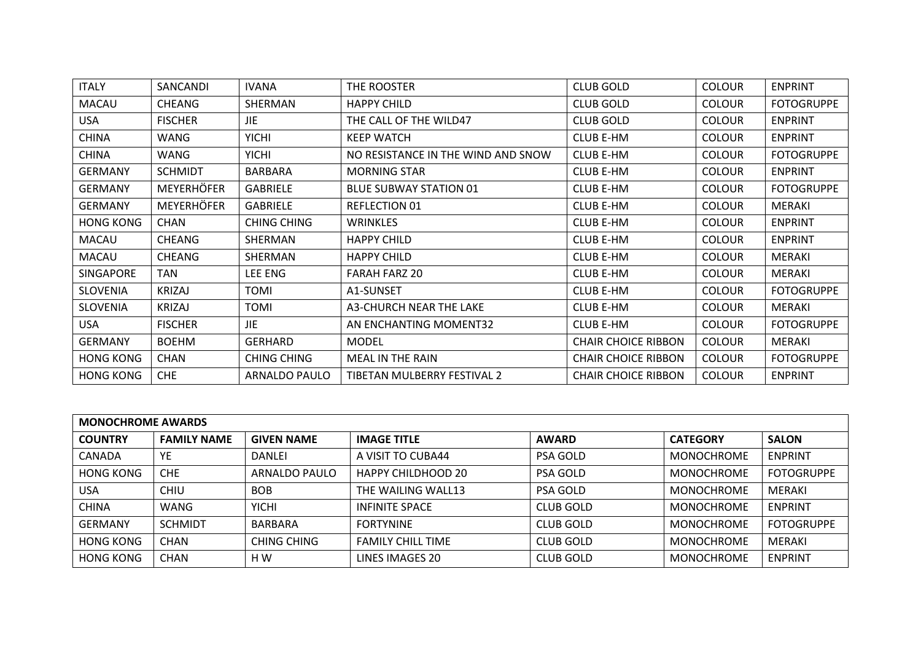| <b>ITALY</b>     | SANCANDI          | <b>IVANA</b>       | THE ROOSTER                        | <b>CLUB GOLD</b>           | <b>COLOUR</b> | <b>ENPRINT</b>    |
|------------------|-------------------|--------------------|------------------------------------|----------------------------|---------------|-------------------|
| <b>MACAU</b>     | <b>CHEANG</b>     | SHERMAN            | <b>HAPPY CHILD</b>                 | <b>CLUB GOLD</b>           | <b>COLOUR</b> | <b>FOTOGRUPPE</b> |
| <b>USA</b>       | <b>FISCHER</b>    | JIE.               | THE CALL OF THE WILD47             | <b>CLUB GOLD</b>           | <b>COLOUR</b> | <b>ENPRINT</b>    |
| <b>CHINA</b>     | WANG              | <b>YICHI</b>       | <b>KEEP WATCH</b>                  | <b>CLUB E-HM</b>           | <b>COLOUR</b> | <b>ENPRINT</b>    |
| <b>CHINA</b>     | WANG              | <b>YICHI</b>       | NO RESISTANCE IN THE WIND AND SNOW | CLUB E-HM                  | <b>COLOUR</b> | <b>FOTOGRUPPE</b> |
| <b>GERMANY</b>   | <b>SCHMIDT</b>    | <b>BARBARA</b>     | <b>MORNING STAR</b>                | <b>CLUB E-HM</b>           | <b>COLOUR</b> | <b>ENPRINT</b>    |
| <b>GERMANY</b>   | <b>MEYERHÖFER</b> | <b>GABRIELE</b>    | <b>BLUE SUBWAY STATION 01</b>      | <b>CLUB E-HM</b>           | <b>COLOUR</b> | <b>FOTOGRUPPE</b> |
| <b>GERMANY</b>   | <b>MEYERHÖFER</b> | <b>GABRIELE</b>    | <b>REFLECTION 01</b>               | <b>CLUB E-HM</b>           | <b>COLOUR</b> | <b>MERAKI</b>     |
| <b>HONG KONG</b> | <b>CHAN</b>       | <b>CHING CHING</b> | WRINKLES                           | <b>CLUB E-HM</b>           | <b>COLOUR</b> | <b>ENPRINT</b>    |
| <b>MACAU</b>     | CHEANG            | SHERMAN            | <b>HAPPY CHILD</b>                 | <b>CLUB E-HM</b>           | <b>COLOUR</b> | <b>ENPRINT</b>    |
| <b>MACAU</b>     | CHEANG            | <b>SHERMAN</b>     | <b>HAPPY CHILD</b>                 | <b>CLUB E-HM</b>           | <b>COLOUR</b> | <b>MERAKI</b>     |
| <b>SINGAPORE</b> | TAN               | LEE ENG            | <b>FARAH FARZ 20</b>               | <b>CLUB E-HM</b>           | <b>COLOUR</b> | <b>MERAKI</b>     |
| <b>SLOVENIA</b>  | <b>KRIZAJ</b>     | <b>TOMI</b>        | A1-SUNSET                          | <b>CLUB E-HM</b>           | <b>COLOUR</b> | <b>FOTOGRUPPE</b> |
| <b>SLOVENIA</b>  | KRIZAJ            | TOMI               | A3-CHURCH NEAR THE LAKE            | <b>CLUB E-HM</b>           | <b>COLOUR</b> | MERAKI            |
| <b>USA</b>       | <b>FISCHER</b>    | <b>JIE</b>         | AN ENCHANTING MOMENT32             | <b>CLUB E-HM</b>           | <b>COLOUR</b> | <b>FOTOGRUPPE</b> |
| <b>GERMANY</b>   | <b>BOEHM</b>      | <b>GERHARD</b>     | <b>MODEL</b>                       | <b>CHAIR CHOICE RIBBON</b> | <b>COLOUR</b> | <b>MERAKI</b>     |
| <b>HONG KONG</b> | <b>CHAN</b>       | <b>CHING CHING</b> | <b>MEAL IN THE RAIN</b>            | <b>CHAIR CHOICE RIBBON</b> | <b>COLOUR</b> | <b>FOTOGRUPPE</b> |
| <b>HONG KONG</b> | <b>CHE</b>        | ARNALDO PAULO      | TIBETAN MULBERRY FESTIVAL 2        | <b>CHAIR CHOICE RIBBON</b> | <b>COLOUR</b> | <b>ENPRINT</b>    |

| <b>MONOCHROME AWARDS</b> |                    |                    |                           |                  |                   |                   |  |  |
|--------------------------|--------------------|--------------------|---------------------------|------------------|-------------------|-------------------|--|--|
| <b>COUNTRY</b>           | <b>FAMILY NAME</b> | <b>GIVEN NAME</b>  | <b>IMAGE TITLE</b>        | <b>AWARD</b>     | <b>CATEGORY</b>   | <b>SALON</b>      |  |  |
| <b>CANADA</b>            | YE                 | <b>DANLEI</b>      | A VISIT TO CUBA44         | <b>PSA GOLD</b>  | MONOCHROME        | ENPRINT           |  |  |
| <b>HONG KONG</b>         | <b>CHE</b>         | ARNALDO PAULO      | <b>HAPPY CHILDHOOD 20</b> | <b>PSA GOLD</b>  | MONOCHROME        | <b>FOTOGRUPPE</b> |  |  |
| <b>USA</b>               | <b>CHIU</b>        | <b>BOB</b>         | THE WAILING WALL13        | <b>PSA GOLD</b>  | <b>MONOCHROME</b> | MERAKI            |  |  |
| <b>CHINA</b>             | <b>WANG</b>        | <b>YICHI</b>       | INFINITE SPACE            | CLUB GOLD        | MONOCHROME        | <b>ENPRINT</b>    |  |  |
| <b>GERMANY</b>           | <b>SCHMIDT</b>     | BARBARA            | <b>FORTYNINE</b>          | <b>CLUB GOLD</b> | MONOCHROME        | <b>FOTOGRUPPE</b> |  |  |
| <b>HONG KONG</b>         | <b>CHAN</b>        | <b>CHING CHING</b> | <b>FAMILY CHILL TIME</b>  | CLUB GOLD        | MONOCHROME        | MERAKI            |  |  |
| <b>HONG KONG</b>         | CHAN               | H W                | LINES IMAGES 20           | CLUB GOLD        | <b>MONOCHROME</b> | ENPRINT           |  |  |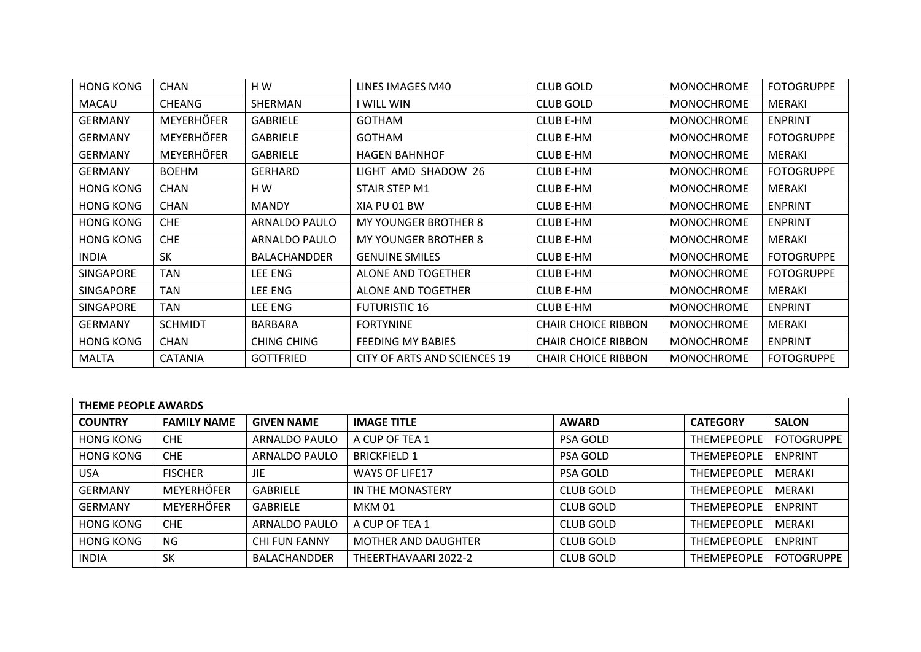| <b>HONG KONG</b> | <b>CHAN</b>       | HW                 | LINES IMAGES M40             | <b>CLUB GOLD</b>           | <b>MONOCHROME</b> | <b>FOTOGRUPPE</b> |
|------------------|-------------------|--------------------|------------------------------|----------------------------|-------------------|-------------------|
| <b>MACAU</b>     | CHEANG            | SHERMAN            | I WILL WIN                   | <b>CLUB GOLD</b>           | <b>MONOCHROME</b> | MERAKI            |
| <b>GERMANY</b>   | <b>MEYERHÖFER</b> | <b>GABRIELE</b>    | <b>GOTHAM</b>                | <b>CLUB E-HM</b>           | <b>MONOCHROME</b> | <b>ENPRINT</b>    |
| GERMANY          | <b>MEYERHÖFER</b> | <b>GABRIELE</b>    | <b>GOTHAM</b>                | <b>CLUB E-HM</b>           | <b>MONOCHROME</b> | <b>FOTOGRUPPE</b> |
| <b>GERMANY</b>   | <b>MEYERHÖFER</b> | <b>GABRIELE</b>    | <b>HAGEN BAHNHOF</b>         | <b>CLUB E-HM</b>           | <b>MONOCHROME</b> | MERAKI            |
| <b>GERMANY</b>   | <b>BOEHM</b>      | <b>GERHARD</b>     | LIGHT AMD SHADOW 26          | <b>CLUB E-HM</b>           | <b>MONOCHROME</b> | <b>FOTOGRUPPE</b> |
| HONG KONG        | <b>CHAN</b>       | H W                | STAIR STEP M1                | <b>CLUB E-HM</b>           | <b>MONOCHROME</b> | MERAKI            |
| <b>HONG KONG</b> | <b>CHAN</b>       | <b>MANDY</b>       | XIA PU 01 BW                 | <b>CLUB E-HM</b>           | <b>MONOCHROME</b> | <b>ENPRINT</b>    |
| <b>HONG KONG</b> | <b>CHE</b>        | ARNALDO PAULO      | <b>MY YOUNGER BROTHER 8</b>  | <b>CLUB E-HM</b>           | <b>MONOCHROME</b> | <b>ENPRINT</b>    |
| <b>HONG KONG</b> | <b>CHE</b>        | ARNALDO PAULO      | MY YOUNGER BROTHER 8         | <b>CLUB E-HM</b>           | <b>MONOCHROME</b> | MERAKI            |
| <b>INDIA</b>     | <b>SK</b>         | BALACHANDDER       | <b>GENUINE SMILES</b>        | <b>CLUB E-HM</b>           | <b>MONOCHROME</b> | <b>FOTOGRUPPE</b> |
| <b>SINGAPORE</b> | TAN               | LEE ENG            | ALONE AND TOGETHER           | <b>CLUB E-HM</b>           | <b>MONOCHROME</b> | <b>FOTOGRUPPE</b> |
| SINGAPORE        | TAN               | LEE ENG            | ALONE AND TOGETHER           | <b>CLUB E-HM</b>           | <b>MONOCHROME</b> | MERAKI            |
| <b>SINGAPORE</b> | TAN               | LEE ENG            | <b>FUTURISTIC 16</b>         | <b>CLUB E-HM</b>           | <b>MONOCHROME</b> | <b>ENPRINT</b>    |
| <b>GERMANY</b>   | <b>SCHMIDT</b>    | <b>BARBARA</b>     | <b>FORTYNINE</b>             | <b>CHAIR CHOICE RIBBON</b> | <b>MONOCHROME</b> | MERAKI            |
| <b>HONG KONG</b> | <b>CHAN</b>       | <b>CHING CHING</b> | <b>FEEDING MY BABIES</b>     | <b>CHAIR CHOICE RIBBON</b> | <b>MONOCHROME</b> | <b>ENPRINT</b>    |
| <b>MALTA</b>     | <b>CATANIA</b>    | <b>GOTTFRIED</b>   | CITY OF ARTS AND SCIENCES 19 | <b>CHAIR CHOICE RIBBON</b> | <b>MONOCHROME</b> | <b>FOTOGRUPPE</b> |

| <b>THEME PEOPLE AWARDS</b> |                    |                      |                       |                  |                    |                   |  |  |
|----------------------------|--------------------|----------------------|-----------------------|------------------|--------------------|-------------------|--|--|
| <b>COUNTRY</b>             | <b>FAMILY NAME</b> | <b>GIVEN NAME</b>    | <b>IMAGE TITLE</b>    | <b>AWARD</b>     | <b>CATEGORY</b>    | <b>SALON</b>      |  |  |
| <b>HONG KONG</b>           | <b>CHE</b>         | ARNALDO PAULO        | A CUP OF TEA 1        | <b>PSA GOLD</b>  | <b>THEMEPEOPLE</b> | <b>FOTOGRUPPE</b> |  |  |
| <b>HONG KONG</b>           | <b>CHE</b>         | ARNALDO PAULO        | <b>BRICKFIELD 1</b>   | <b>PSA GOLD</b>  | <b>THEMEPEOPLE</b> | <b>ENPRINT</b>    |  |  |
| <b>USA</b>                 | <b>FISCHER</b>     | JIE                  | <b>WAYS OF LIFE17</b> | <b>PSA GOLD</b>  | <b>THEMEPEOPLE</b> | <b>MERAKI</b>     |  |  |
| <b>GERMANY</b>             | <b>MEYERHÖFER</b>  | <b>GABRIELE</b>      | IN THE MONASTERY      | <b>CLUB GOLD</b> | <b>THEMEPEOPLE</b> | MERAKI            |  |  |
| <b>GERMANY</b>             | <b>MEYERHÖFER</b>  | <b>GABRIELE</b>      | <b>MKM 01</b>         | <b>CLUB GOLD</b> | <b>THEMEPEOPLE</b> | <b>ENPRINT</b>    |  |  |
| <b>HONG KONG</b>           | CHE.               | ARNALDO PAULO        | A CUP OF TEA 1        | <b>CLUB GOLD</b> | <b>THEMEPEOPLE</b> | MERAKI            |  |  |
| <b>HONG KONG</b>           | <b>NG</b>          | <b>CHI FUN FANNY</b> | MOTHER AND DAUGHTER   | <b>CLUB GOLD</b> | <b>THEMEPEOPLE</b> | <b>ENPRINT</b>    |  |  |
| <b>INDIA</b>               | <b>SK</b>          | <b>BALACHANDDER</b>  | THEERTHAVAARI 2022-2  | <b>CLUB GOLD</b> | <b>THEMEPEOPLE</b> | <b>FOTOGRUPPE</b> |  |  |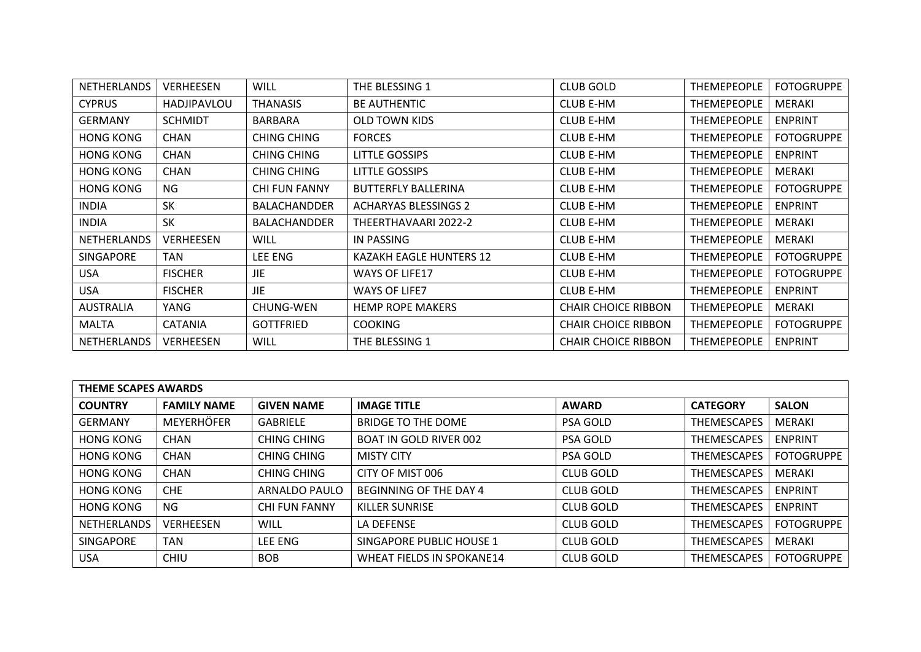| <b>NETHERLANDS</b> | <b>VERHEESEN</b>   | <b>WILL</b>          | THE BLESSING 1              | <b>CLUB GOLD</b>           | <b>THEMEPEOPLE</b> | <b>FOTOGRUPPE</b> |
|--------------------|--------------------|----------------------|-----------------------------|----------------------------|--------------------|-------------------|
| <b>CYPRUS</b>      | <b>HADJIPAVLOU</b> | <b>THANASIS</b>      | <b>BE AUTHENTIC</b>         | <b>CLUB E-HM</b>           | THEMEPEOPLE        | MERAKI            |
| <b>GERMANY</b>     | <b>SCHMIDT</b>     | <b>BARBARA</b>       | <b>OLD TOWN KIDS</b>        | <b>CLUB E-HM</b>           | THEMEPEOPLE        | <b>ENPRINT</b>    |
| <b>HONG KONG</b>   | <b>CHAN</b>        | CHING CHING          | <b>FORCES</b>               | <b>CLUB E-HM</b>           | THEMEPEOPLE        | <b>FOTOGRUPPE</b> |
| <b>HONG KONG</b>   | <b>CHAN</b>        | CHING CHING          | LITTLE GOSSIPS              | <b>CLUB E-HM</b>           | THEMEPEOPLE        | <b>ENPRINT</b>    |
| <b>HONG KONG</b>   | <b>CHAN</b>        | CHING CHING          | LITTLE GOSSIPS              | <b>CLUB E-HM</b>           | THEMEPEOPLE        | MERAKI            |
| <b>HONG KONG</b>   | NG                 | <b>CHI FUN FANNY</b> | <b>BUTTERFLY BALLERINA</b>  | <b>CLUB E-HM</b>           | THEMEPEOPLE        | <b>FOTOGRUPPE</b> |
| <b>INDIA</b>       | SK                 | <b>BALACHANDDER</b>  | <b>ACHARYAS BLESSINGS 2</b> | <b>CLUB E-HM</b>           | THEMEPEOPLE        | <b>ENPRINT</b>    |
| <b>INDIA</b>       | <b>SK</b>          | <b>BALACHANDDER</b>  | THEERTHAVAARI 2022-2        | <b>CLUB E-HM</b>           | THEMEPEOPLE        | <b>MERAKI</b>     |
| <b>NETHERLANDS</b> | <b>VERHEESEN</b>   | WILL                 | IN PASSING                  | <b>CLUB E-HM</b>           | <b>THEMEPEOPLE</b> | MERAKI            |
| <b>SINGAPORE</b>   | TAN                | LEE ENG              | KAZAKH EAGLE HUNTERS 12     | <b>CLUB E-HM</b>           | THEMEPEOPLE        | <b>FOTOGRUPPE</b> |
| USA.               | <b>FISCHER</b>     | JIE                  | <b>WAYS OF LIFE17</b>       | <b>CLUB E-HM</b>           | THEMEPEOPLE        | <b>FOTOGRUPPE</b> |
| <b>USA</b>         | <b>FISCHER</b>     | JIE                  | <b>WAYS OF LIFE7</b>        | <b>CLUB E-HM</b>           | <b>THEMEPEOPLE</b> | <b>ENPRINT</b>    |
| <b>AUSTRALIA</b>   | YANG               | <b>CHUNG-WEN</b>     | <b>HEMP ROPE MAKERS</b>     | <b>CHAIR CHOICE RIBBON</b> | THEMEPEOPLE        | MERAKI            |
| <b>MALTA</b>       | <b>CATANIA</b>     | <b>GOTTFRIED</b>     | <b>COOKING</b>              | <b>CHAIR CHOICE RIBBON</b> | THEMEPEOPLE        | <b>FOTOGRUPPE</b> |
| <b>NETHERLANDS</b> | <b>VERHEESEN</b>   | WILL                 | THE BLESSING 1              | <b>CHAIR CHOICE RIBBON</b> | THEMEPEOPLE        | <b>ENPRINT</b>    |

| <b>THEME SCAPES AWARDS</b> |                    |                      |                                  |                  |                    |                   |  |
|----------------------------|--------------------|----------------------|----------------------------------|------------------|--------------------|-------------------|--|
| <b>COUNTRY</b>             | <b>FAMILY NAME</b> | <b>GIVEN NAME</b>    | <b>IMAGE TITLE</b>               | <b>AWARD</b>     | <b>CATEGORY</b>    | <b>SALON</b>      |  |
| <b>GERMANY</b>             | <b>MEYERHÖFER</b>  | <b>GABRIELE</b>      | <b>BRIDGE TO THE DOME</b>        | <b>PSA GOLD</b>  | <b>THEMESCAPES</b> | MERAKI            |  |
| <b>HONG KONG</b>           | <b>CHAN</b>        | CHING CHING          | BOAT IN GOLD RIVER 002           | <b>PSA GOLD</b>  | <b>THEMESCAPES</b> | <b>ENPRINT</b>    |  |
| <b>HONG KONG</b>           | <b>CHAN</b>        | CHING CHING          | <b>MISTY CITY</b>                | <b>PSA GOLD</b>  | <b>THEMESCAPES</b> | <b>FOTOGRUPPE</b> |  |
| <b>HONG KONG</b>           | <b>CHAN</b>        | CHING CHING          | CITY OF MIST 006                 | <b>CLUB GOLD</b> | <b>THEMESCAPES</b> | MERAKI            |  |
| <b>HONG KONG</b>           | <b>CHE</b>         | <b>ARNALDO PAULO</b> | BEGINNING OF THE DAY 4           | <b>CLUB GOLD</b> | <b>THEMESCAPES</b> | <b>ENPRINT</b>    |  |
| <b>HONG KONG</b>           | <b>NG</b>          | <b>CHI FUN FANNY</b> | <b>KILLER SUNRISE</b>            | <b>CLUB GOLD</b> | <b>THEMESCAPES</b> | <b>ENPRINT</b>    |  |
| <b>NETHERLANDS</b>         | <b>VERHEESEN</b>   | WILL                 | <b>LA DEFENSE</b>                | <b>CLUB GOLD</b> | <b>THEMESCAPES</b> | <b>FOTOGRUPPE</b> |  |
| SINGAPORE                  | TAN                | <b>LEE ENG</b>       | SINGAPORE PUBLIC HOUSE 1         | <b>CLUB GOLD</b> | <b>THEMESCAPES</b> | MERAKI            |  |
| <b>USA</b>                 | <b>CHIU</b>        | <b>BOB</b>           | <b>WHEAT FIELDS IN SPOKANE14</b> | <b>CLUB GOLD</b> | <b>THEMESCAPES</b> | <b>FOTOGRUPPE</b> |  |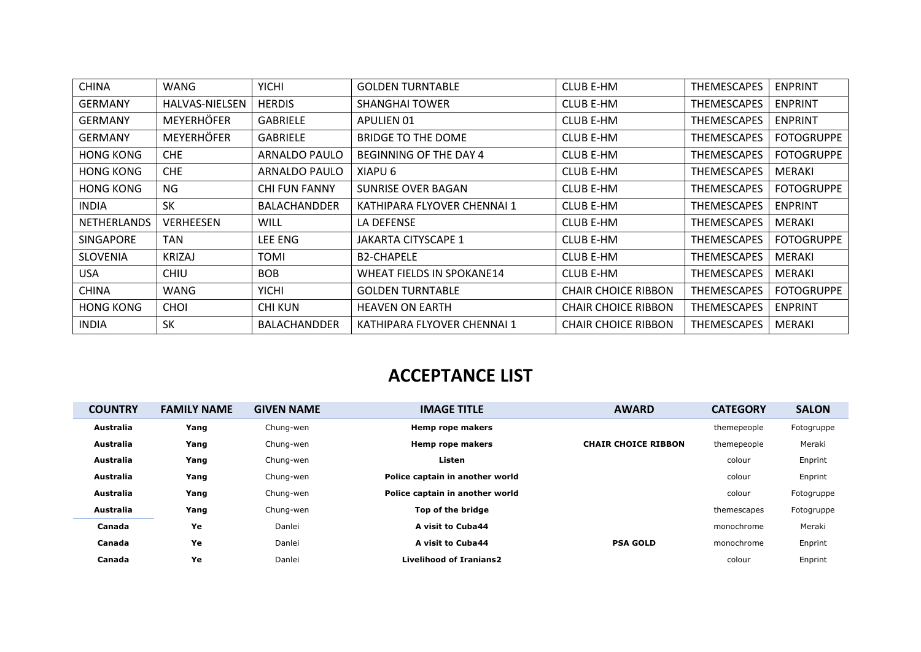| <b>CHINA</b>       | WANG                  | <b>YICHI</b>         | <b>GOLDEN TURNTABLE</b>     | <b>CLUB E-HM</b>           | <b>THEMESCAPES</b> | <b>ENPRINT</b>    |
|--------------------|-----------------------|----------------------|-----------------------------|----------------------------|--------------------|-------------------|
| <b>GERMANY</b>     | <b>HALVAS-NIELSEN</b> | <b>HERDIS</b>        | <b>SHANGHAI TOWER</b>       | <b>CLUB E-HM</b>           | THEMESCAPES        | <b>ENPRINT</b>    |
| <b>GERMANY</b>     | <b>MEYERHÖFER</b>     | <b>GABRIELE</b>      | APULIEN 01                  | <b>CLUB E-HM</b>           | THEMESCAPES        | <b>ENPRINT</b>    |
| <b>GERMANY</b>     | <b>MEYERHÖFER</b>     | <b>GABRIELE</b>      | <b>BRIDGE TO THE DOME</b>   | <b>CLUB E-HM</b>           | THEMESCAPES        | <b>FOTOGRUPPE</b> |
| <b>HONG KONG</b>   | CHE.                  | <b>ARNALDO PAULO</b> | BEGINNING OF THE DAY 4      | <b>CLUB E-HM</b>           | <b>THEMESCAPES</b> | <b>FOTOGRUPPE</b> |
| <b>HONG KONG</b>   | <b>CHE</b>            | ARNALDO PAULO        | XIAPU 6                     | <b>CLUB E-HM</b>           | THEMESCAPES        | MERAKI            |
| <b>HONG KONG</b>   | NG                    | <b>CHI FUN FANNY</b> | SUNRISE OVER BAGAN          | <b>CLUB E-HM</b>           | <b>THEMESCAPES</b> | <b>FOTOGRUPPE</b> |
| <b>INDIA</b>       | <b>SK</b>             | <b>BALACHANDDER</b>  | KATHIPARA FLYOVER CHENNAI 1 | <b>CLUB E-HM</b>           | <b>THEMESCAPES</b> | <b>ENPRINT</b>    |
| <b>NETHERLANDS</b> | <b>VERHEESEN</b>      | <b>WILL</b>          | LA DEFENSE                  | <b>CLUB E-HM</b>           | <b>THEMESCAPES</b> | <b>MERAKI</b>     |
| <b>SINGAPORE</b>   | <b>TAN</b>            | LEE ENG              | JAKARTA CITYSCAPE 1         | <b>CLUB E-HM</b>           | <b>THEMESCAPES</b> | <b>FOTOGRUPPE</b> |
| <b>SLOVENIA</b>    | <b>KRIZAJ</b>         | TOMI                 | <b>B2-CHAPELE</b>           | <b>CLUB E-HM</b>           | <b>THEMESCAPES</b> | <b>MERAKI</b>     |
| USA.               | <b>CHIU</b>           | <b>BOB</b>           | WHEAT FIELDS IN SPOKANE14   | <b>CLUB E-HM</b>           | <b>THEMESCAPES</b> | <b>MERAKI</b>     |
| <b>CHINA</b>       | WANG                  | <b>YICHI</b>         | <b>GOLDEN TURNTABLE</b>     | <b>CHAIR CHOICE RIBBON</b> | <b>THEMESCAPES</b> | <b>FOTOGRUPPE</b> |
| <b>HONG KONG</b>   | <b>CHOI</b>           | <b>CHI KUN</b>       | <b>HEAVEN ON EARTH</b>      | <b>CHAIR CHOICE RIBBON</b> | <b>THEMESCAPES</b> | <b>ENPRINT</b>    |
| <b>INDIA</b>       | <b>SK</b>             | <b>BALACHANDDER</b>  | KATHIPARA FLYOVER CHENNAI 1 | <b>CHAIR CHOICE RIBBON</b> | <b>THEMESCAPES</b> | <b>MERAKI</b>     |

## **ACCEPTANCE LIST**

| <b>COUNTRY</b>   | <b>FAMILY NAME</b> | <b>GIVEN NAME</b> | <b>IMAGE TITLE</b>              | <b>AWARD</b>               | <b>CATEGORY</b> | <b>SALON</b> |
|------------------|--------------------|-------------------|---------------------------------|----------------------------|-----------------|--------------|
| Australia        | Yang               | Chung-wen         | Hemp rope makers                |                            | themepeople     | Fotogruppe   |
| <b>Australia</b> | Yang               | Chung-wen         | Hemp rope makers                | <b>CHAIR CHOICE RIBBON</b> | themepeople     | Meraki       |
| <b>Australia</b> | Yang               | Chung-wen         | Listen                          |                            | colour          | Enprint      |
| <b>Australia</b> | Yang               | Chung-wen         | Police captain in another world |                            | colour          | Enprint      |
| Australia        | Yang               | Chung-wen         | Police captain in another world |                            | colour          | Fotogruppe   |
| Australia        | Yang               | Chung-wen         | Top of the bridge               |                            | themescapes     | Fotogruppe   |
| Canada           | Ye                 | Danlei            | A visit to Cuba44               |                            | monochrome      | Meraki       |
| Canada           | Ye                 | Danlei            | A visit to Cuba44               | <b>PSA GOLD</b>            | monochrome      | Enprint      |
| Canada           | Ye                 | Danlei            | <b>Livelihood of Iranians2</b>  |                            | colour          | Enprint      |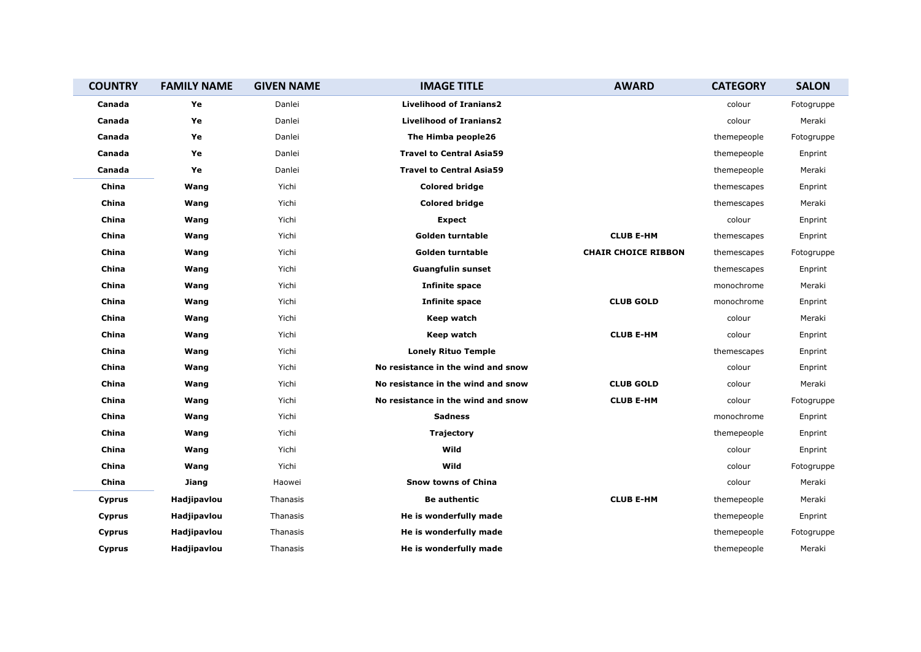| <b>COUNTRY</b> | <b>FAMILY NAME</b> | <b>GIVEN NAME</b> | <b>IMAGE TITLE</b>                 | <b>AWARD</b>               | <b>CATEGORY</b> | <b>SALON</b> |
|----------------|--------------------|-------------------|------------------------------------|----------------------------|-----------------|--------------|
| Canada         | Ye                 | Danlei            | <b>Livelihood of Iranians2</b>     |                            | colour          | Fotogruppe   |
| Canada         | Ye                 | Danlei            | <b>Livelihood of Iranians2</b>     |                            | colour          | Meraki       |
| Canada         | Ye                 | Danlei            | The Himba people26                 |                            | themepeople     | Fotogruppe   |
| Canada         | Ye                 | Danlei            | <b>Travel to Central Asia59</b>    |                            | themepeople     | Enprint      |
| Canada         | Ye                 | Danlei            | <b>Travel to Central Asia59</b>    |                            | themepeople     | Meraki       |
| China          | Wang               | Yichi             | <b>Colored bridge</b>              |                            | themescapes     | Enprint      |
| China          | Wang               | Yichi             | <b>Colored bridge</b>              |                            | themescapes     | Meraki       |
| China          | Wang               | Yichi             | Expect                             |                            | colour          | Enprint      |
| China          | Wang               | Yichi             | <b>Golden turntable</b>            | <b>CLUB E-HM</b>           | themescapes     | Enprint      |
| China          | Wang               | Yichi             | Golden turntable                   | <b>CHAIR CHOICE RIBBON</b> | themescapes     | Fotogruppe   |
| China          | Wang               | Yichi             | <b>Guangfulin sunset</b>           |                            | themescapes     | Enprint      |
| China          | Wang               | Yichi             | <b>Infinite space</b>              |                            | monochrome      | Meraki       |
| China          | Wang               | Yichi             | <b>Infinite space</b>              | <b>CLUB GOLD</b>           | monochrome      | Enprint      |
| China          | Wang               | Yichi             | Keep watch                         |                            | colour          | Meraki       |
| China          | Wang               | Yichi             | Keep watch                         | <b>CLUB E-HM</b>           | colour          | Enprint      |
| China          | Wang               | Yichi             | <b>Lonely Rituo Temple</b>         |                            | themescapes     | Enprint      |
| China          | Wang               | Yichi             | No resistance in the wind and snow |                            | colour          | Enprint      |
| China          | Wang               | Yichi             | No resistance in the wind and snow | <b>CLUB GOLD</b>           | colour          | Meraki       |
| China          | Wang               | Yichi             | No resistance in the wind and snow | <b>CLUB E-HM</b>           | colour          | Fotogruppe   |
| China          | Wang               | Yichi             | <b>Sadness</b>                     |                            | monochrome      | Enprint      |
| China          | Wang               | Yichi             | <b>Trajectory</b>                  |                            | themepeople     | Enprint      |
| China          | Wang               | Yichi             | Wild                               |                            | colour          | Enprint      |
| China          | Wang               | Yichi             | Wild                               |                            | colour          | Fotogruppe   |
| China          | Jiang              | Haowei            | <b>Snow towns of China</b>         |                            | colour          | Meraki       |
| Cyprus         | Hadjipavlou        | Thanasis          | <b>Be authentic</b>                | <b>CLUB E-HM</b>           | themepeople     | Meraki       |
| Cyprus         | Hadjipavlou        | Thanasis          | He is wonderfully made             |                            | themepeople     | Enprint      |
| Cyprus         | Hadjipavlou        | Thanasis          | He is wonderfully made             |                            | themepeople     | Fotogruppe   |
| Cyprus         | Hadjipavlou        | Thanasis          | He is wonderfully made             |                            | themepeople     | Meraki       |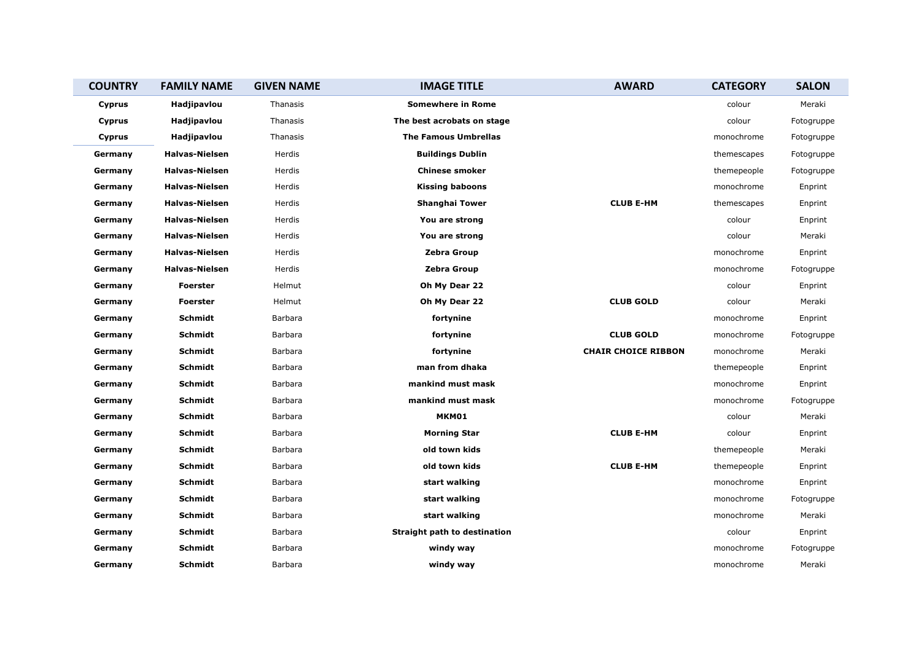| <b>COUNTRY</b> | <b>FAMILY NAME</b>    | <b>GIVEN NAME</b> | <b>IMAGE TITLE</b>                  | <b>AWARD</b>               | <b>CATEGORY</b> | <b>SALON</b> |
|----------------|-----------------------|-------------------|-------------------------------------|----------------------------|-----------------|--------------|
| <b>Cyprus</b>  | Hadjipavlou           | Thanasis          | <b>Somewhere in Rome</b>            |                            | colour          | Meraki       |
| Cyprus         | Hadjipavlou           | Thanasis          | The best acrobats on stage          |                            | colour          | Fotogruppe   |
| Cyprus         | Hadjipavlou           | Thanasis          | <b>The Famous Umbrellas</b>         |                            | monochrome      | Fotogruppe   |
| Germany        | <b>Halvas-Nielsen</b> | Herdis            | <b>Buildings Dublin</b>             |                            | themescapes     | Fotogruppe   |
| Germany        | <b>Halvas-Nielsen</b> | Herdis            | <b>Chinese smoker</b>               |                            | themepeople     | Fotogruppe   |
| Germany        | <b>Halvas-Nielsen</b> | Herdis            | <b>Kissing baboons</b>              |                            | monochrome      | Enprint      |
| Germany        | <b>Halvas-Nielsen</b> | Herdis            | Shanghai Tower                      | <b>CLUB E-HM</b>           | themescapes     | Enprint      |
| Germany        | <b>Halvas-Nielsen</b> | Herdis            | You are strong                      |                            | colour          | Enprint      |
| Germany        | <b>Halvas-Nielsen</b> | Herdis            | You are strong                      |                            | colour          | Meraki       |
| Germany        | <b>Halvas-Nielsen</b> | Herdis            | Zebra Group                         |                            | monochrome      | Enprint      |
| Germany        | <b>Halvas-Nielsen</b> | Herdis            | Zebra Group                         |                            | monochrome      | Fotogruppe   |
| Germany        | <b>Foerster</b>       | Helmut            | Oh My Dear 22                       |                            | colour          | Enprint      |
| Germany        | <b>Foerster</b>       | Helmut            | Oh My Dear 22                       | <b>CLUB GOLD</b>           | colour          | Meraki       |
| Germany        | Schmidt               | Barbara           | fortynine                           |                            | monochrome      | Enprint      |
| Germany        | Schmidt               | Barbara           | fortynine                           | <b>CLUB GOLD</b>           | monochrome      | Fotogruppe   |
| Germany        | Schmidt               | Barbara           | fortynine                           | <b>CHAIR CHOICE RIBBON</b> | monochrome      | Meraki       |
| Germany        | Schmidt               | Barbara           | man from dhaka                      |                            | themepeople     | Enprint      |
| Germany        | Schmidt               | Barbara           | mankind must mask                   |                            | monochrome      | Enprint      |
| Germany        | Schmidt               | Barbara           | mankind must mask                   |                            | monochrome      | Fotogruppe   |
| Germany        | Schmidt               | Barbara           | MKM01                               |                            | colour          | Meraki       |
| Germany        | Schmidt               | Barbara           | <b>Morning Star</b>                 | <b>CLUB E-HM</b>           | colour          | Enprint      |
| Germany        | Schmidt               | Barbara           | old town kids                       |                            | themepeople     | Meraki       |
| Germany        | Schmidt               | Barbara           | old town kids                       | <b>CLUB E-HM</b>           | themepeople     | Enprint      |
| Germany        | Schmidt               | Barbara           | start walking                       |                            | monochrome      | Enprint      |
| Germany        | Schmidt               | Barbara           | start walking                       |                            | monochrome      | Fotogruppe   |
| Germany        | Schmidt               | Barbara           | start walking                       |                            | monochrome      | Meraki       |
| Germany        | Schmidt               | Barbara           | <b>Straight path to destination</b> |                            | colour          | Enprint      |
| Germany        | Schmidt               | Barbara           | windy way                           |                            | monochrome      | Fotogruppe   |
| Germany        | Schmidt               | Barbara           | windy way                           |                            | monochrome      | Meraki       |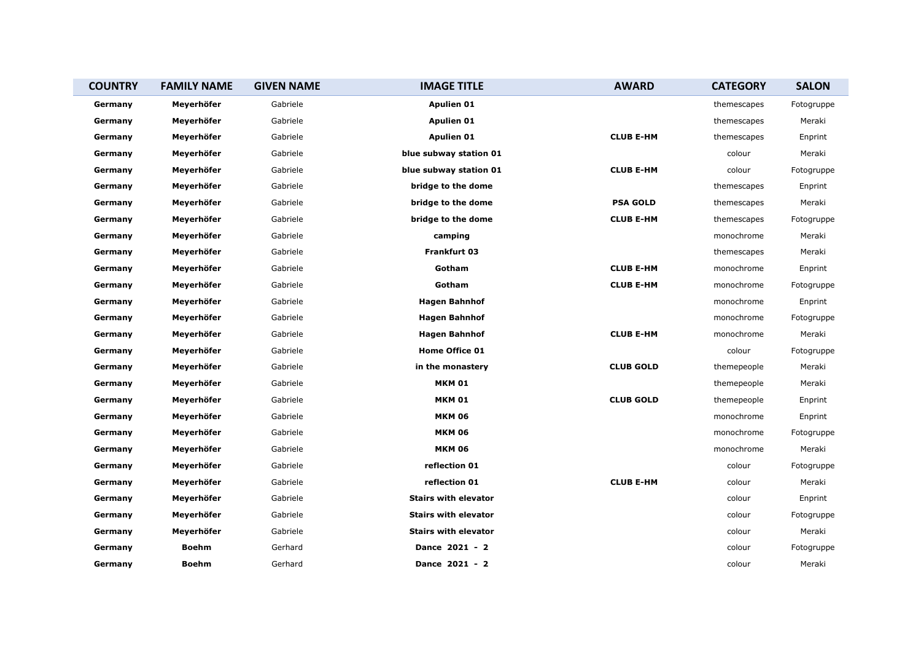| <b>COUNTRY</b> | <b>FAMILY NAME</b> | <b>GIVEN NAME</b> | <b>IMAGE TITLE</b>          | <b>AWARD</b>     | <b>CATEGORY</b> | <b>SALON</b> |
|----------------|--------------------|-------------------|-----------------------------|------------------|-----------------|--------------|
| Germany        | Meyerhöfer         | Gabriele          | <b>Apulien 01</b>           |                  | themescapes     | Fotogruppe   |
| Germany        | Meyerhöfer         | Gabriele          | Apulien 01                  |                  | themescapes     | Meraki       |
| Germany        | Meyerhöfer         | Gabriele          | <b>Apulien 01</b>           | <b>CLUB E-HM</b> | themescapes     | Enprint      |
| Germany        | Meyerhöfer         | Gabriele          | blue subway station 01      |                  | colour          | Meraki       |
| Germany        | Meyerhöfer         | Gabriele          | blue subway station 01      | <b>CLUB E-HM</b> | colour          | Fotogruppe   |
| Germany        | Meyerhöfer         | Gabriele          | bridge to the dome          |                  | themescapes     | Enprint      |
| Germany        | Meyerhöfer         | Gabriele          | bridge to the dome          | <b>PSA GOLD</b>  | themescapes     | Meraki       |
| Germany        | Meyerhöfer         | Gabriele          | bridge to the dome          | <b>CLUB E-HM</b> | themescapes     | Fotogruppe   |
| Germany        | Meyerhöfer         | Gabriele          | camping                     |                  | monochrome      | Meraki       |
| Germany        | Meyerhöfer         | Gabriele          | <b>Frankfurt 03</b>         |                  | themescapes     | Meraki       |
| Germany        | Meyerhöfer         | Gabriele          | Gotham                      | <b>CLUB E-HM</b> | monochrome      | Enprint      |
| Germany        | Meyerhöfer         | Gabriele          | Gotham                      | <b>CLUB E-HM</b> | monochrome      | Fotogruppe   |
| Germany        | Meyerhöfer         | Gabriele          | <b>Hagen Bahnhof</b>        |                  | monochrome      | Enprint      |
| Germany        | Meyerhöfer         | Gabriele          | <b>Hagen Bahnhof</b>        |                  | monochrome      | Fotogruppe   |
| Germany        | Meyerhöfer         | Gabriele          | <b>Hagen Bahnhof</b>        | <b>CLUB E-HM</b> | monochrome      | Meraki       |
| Germany        | Meyerhöfer         | Gabriele          | Home Office 01              |                  | colour          | Fotogruppe   |
| Germany        | Meyerhöfer         | Gabriele          | in the monastery            | <b>CLUB GOLD</b> | themepeople     | Meraki       |
| Germany        | Meyerhöfer         | Gabriele          | <b>MKM 01</b>               |                  | themepeople     | Meraki       |
| Germany        | Meyerhöfer         | Gabriele          | <b>MKM 01</b>               | <b>CLUB GOLD</b> | themepeople     | Enprint      |
| Germany        | Meyerhöfer         | Gabriele          | <b>MKM 06</b>               |                  | monochrome      | Enprint      |
| Germany        | Meyerhöfer         | Gabriele          | <b>MKM 06</b>               |                  | monochrome      | Fotogruppe   |
| Germany        | Meyerhöfer         | Gabriele          | <b>MKM 06</b>               |                  | monochrome      | Meraki       |
| Germany        | Meyerhöfer         | Gabriele          | reflection 01               |                  | colour          | Fotogruppe   |
| Germany        | Meyerhöfer         | Gabriele          | reflection 01               | <b>CLUB E-HM</b> | colour          | Meraki       |
| Germany        | Meyerhöfer         | Gabriele          | <b>Stairs with elevator</b> |                  | colour          | Enprint      |
| Germany        | Meyerhöfer         | Gabriele          | <b>Stairs with elevator</b> |                  | colour          | Fotogruppe   |
| Germany        | Meyerhöfer         | Gabriele          | <b>Stairs with elevator</b> |                  | colour          | Meraki       |
| Germany        | <b>Boehm</b>       | Gerhard           | Dance 2021 - 2              |                  | colour          | Fotogruppe   |
| Germany        | <b>Boehm</b>       | Gerhard           | Dance 2021 - 2              |                  | colour          | Meraki       |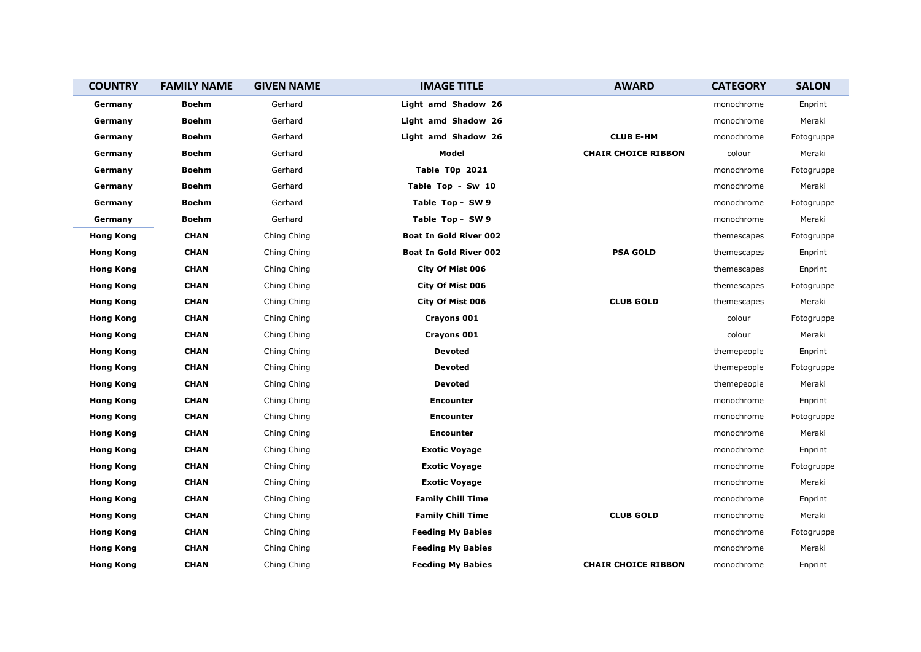| <b>COUNTRY</b>   | <b>FAMILY NAME</b> | <b>GIVEN NAME</b> | <b>IMAGE TITLE</b>            | <b>AWARD</b>               | <b>CATEGORY</b> | <b>SALON</b> |
|------------------|--------------------|-------------------|-------------------------------|----------------------------|-----------------|--------------|
| Germany          | <b>Boehm</b>       | Gerhard           | Light amd Shadow 26           |                            | monochrome      | Enprint      |
| Germany          | <b>Boehm</b>       | Gerhard           | Light amd Shadow 26           |                            | monochrome      | Meraki       |
| Germany          | <b>Boehm</b>       | Gerhard           | Light amd Shadow 26           | <b>CLUB E-HM</b>           | monochrome      | Fotogruppe   |
| Germany          | <b>Boehm</b>       | Gerhard           | Model                         | <b>CHAIR CHOICE RIBBON</b> | colour          | Meraki       |
| Germany          | <b>Boehm</b>       | Gerhard           | Table T0p 2021                |                            | monochrome      | Fotogruppe   |
| Germany          | <b>Boehm</b>       | Gerhard           | Table Top - Sw 10             |                            | monochrome      | Meraki       |
| Germany          | <b>Boehm</b>       | Gerhard           | Table Top - SW 9              |                            | monochrome      | Fotogruppe   |
| Germany          | <b>Boehm</b>       | Gerhard           | Table Top - SW 9              |                            | monochrome      | Meraki       |
| <b>Hong Kong</b> | <b>CHAN</b>        | Ching Ching       | <b>Boat In Gold River 002</b> |                            | themescapes     | Fotogruppe   |
| <b>Hong Kong</b> | <b>CHAN</b>        | Ching Ching       | <b>Boat In Gold River 002</b> | <b>PSA GOLD</b>            | themescapes     | Enprint      |
| <b>Hong Kong</b> | <b>CHAN</b>        | Ching Ching       | City Of Mist 006              |                            | themescapes     | Enprint      |
| <b>Hong Kong</b> | <b>CHAN</b>        | Ching Ching       | City Of Mist 006              |                            | themescapes     | Fotogruppe   |
| <b>Hong Kong</b> | <b>CHAN</b>        | Ching Ching       | City Of Mist 006              | <b>CLUB GOLD</b>           | themescapes     | Meraki       |
| <b>Hong Kong</b> | <b>CHAN</b>        | Ching Ching       | Crayons 001                   |                            | colour          | Fotogruppe   |
| <b>Hong Kong</b> | <b>CHAN</b>        | Ching Ching       | Crayons 001                   |                            | colour          | Meraki       |
| <b>Hong Kong</b> | <b>CHAN</b>        | Ching Ching       | <b>Devoted</b>                |                            | themepeople     | Enprint      |
| <b>Hong Kong</b> | <b>CHAN</b>        | Ching Ching       | <b>Devoted</b>                |                            | themepeople     | Fotogruppe   |
| <b>Hong Kong</b> | <b>CHAN</b>        | Ching Ching       | <b>Devoted</b>                |                            | themepeople     | Meraki       |
| <b>Hong Kong</b> | <b>CHAN</b>        | Ching Ching       | <b>Encounter</b>              |                            | monochrome      | Enprint      |
| <b>Hong Kong</b> | <b>CHAN</b>        | Ching Ching       | <b>Encounter</b>              |                            | monochrome      | Fotogruppe   |
| <b>Hong Kong</b> | <b>CHAN</b>        | Ching Ching       | <b>Encounter</b>              |                            | monochrome      | Meraki       |
| <b>Hong Kong</b> | <b>CHAN</b>        | Ching Ching       | <b>Exotic Voyage</b>          |                            | monochrome      | Enprint      |
| <b>Hong Kong</b> | <b>CHAN</b>        | Ching Ching       | <b>Exotic Voyage</b>          |                            | monochrome      | Fotogruppe   |
| <b>Hong Kong</b> | <b>CHAN</b>        | Ching Ching       | <b>Exotic Voyage</b>          |                            | monochrome      | Meraki       |
| <b>Hong Kong</b> | <b>CHAN</b>        | Ching Ching       | <b>Family Chill Time</b>      |                            | monochrome      | Enprint      |
| <b>Hong Kong</b> | <b>CHAN</b>        | Ching Ching       | <b>Family Chill Time</b>      | <b>CLUB GOLD</b>           | monochrome      | Meraki       |
| <b>Hong Kong</b> | <b>CHAN</b>        | Ching Ching       | <b>Feeding My Babies</b>      |                            | monochrome      | Fotogruppe   |
| <b>Hong Kong</b> | <b>CHAN</b>        | Ching Ching       | <b>Feeding My Babies</b>      |                            | monochrome      | Meraki       |
| <b>Hong Kong</b> | <b>CHAN</b>        | Ching Ching       | <b>Feeding My Babies</b>      | <b>CHAIR CHOICE RIBBON</b> | monochrome      | Enprint      |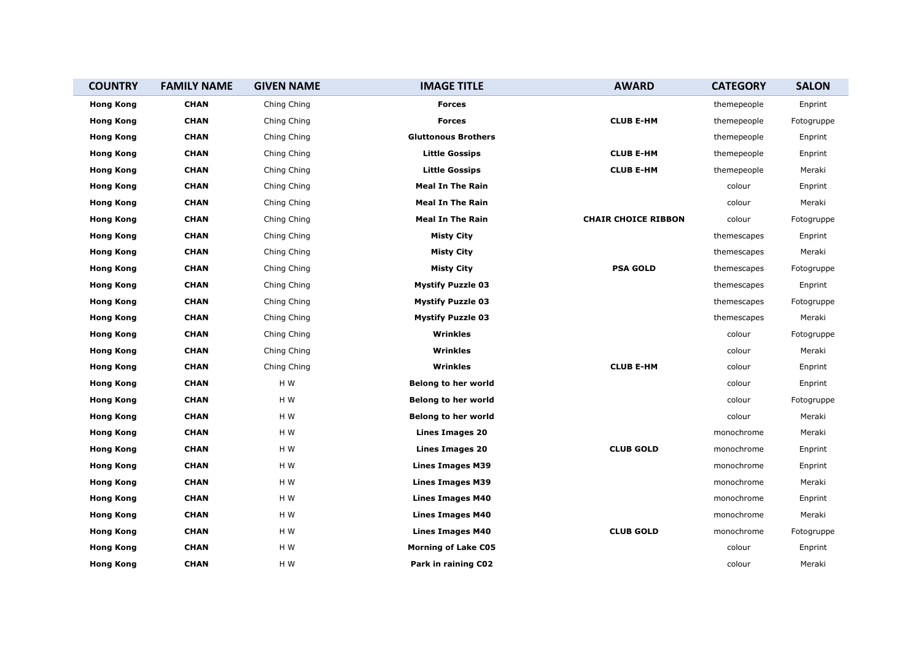| <b>COUNTRY</b>   | <b>FAMILY NAME</b> | <b>GIVEN NAME</b> | <b>IMAGE TITLE</b>         | <b>AWARD</b>               | <b>CATEGORY</b> | <b>SALON</b> |
|------------------|--------------------|-------------------|----------------------------|----------------------------|-----------------|--------------|
| <b>Hong Kong</b> | <b>CHAN</b>        | Ching Ching       | <b>Forces</b>              |                            | themepeople     | Enprint      |
| <b>Hong Kong</b> | <b>CHAN</b>        | Ching Ching       | <b>Forces</b>              | <b>CLUB E-HM</b>           | themepeople     | Fotogruppe   |
| <b>Hong Kong</b> | <b>CHAN</b>        | Ching Ching       | <b>Gluttonous Brothers</b> |                            | themepeople     | Enprint      |
| <b>Hong Kong</b> | <b>CHAN</b>        | Ching Ching       | <b>Little Gossips</b>      | <b>CLUB E-HM</b>           | themepeople     | Enprint      |
| <b>Hong Kong</b> | <b>CHAN</b>        | Ching Ching       | <b>Little Gossips</b>      | <b>CLUB E-HM</b>           | themepeople     | Meraki       |
| <b>Hong Kong</b> | <b>CHAN</b>        | Ching Ching       | <b>Meal In The Rain</b>    |                            | colour          | Enprint      |
| <b>Hong Kong</b> | <b>CHAN</b>        | Ching Ching       | <b>Meal In The Rain</b>    |                            | colour          | Meraki       |
| <b>Hong Kong</b> | <b>CHAN</b>        | Ching Ching       | <b>Meal In The Rain</b>    | <b>CHAIR CHOICE RIBBON</b> | colour          | Fotogruppe   |
| <b>Hong Kong</b> | <b>CHAN</b>        | Ching Ching       | <b>Misty City</b>          |                            | themescapes     | Enprint      |
| <b>Hong Kong</b> | <b>CHAN</b>        | Ching Ching       | <b>Misty City</b>          |                            | themescapes     | Meraki       |
| <b>Hong Kong</b> | <b>CHAN</b>        | Ching Ching       | <b>Misty City</b>          | <b>PSA GOLD</b>            | themescapes     | Fotogruppe   |
| <b>Hong Kong</b> | <b>CHAN</b>        | Ching Ching       | <b>Mystify Puzzle 03</b>   |                            | themescapes     | Enprint      |
| <b>Hong Kong</b> | <b>CHAN</b>        | Ching Ching       | <b>Mystify Puzzle 03</b>   |                            | themescapes     | Fotogruppe   |
| <b>Hong Kong</b> | <b>CHAN</b>        | Ching Ching       | <b>Mystify Puzzle 03</b>   |                            | themescapes     | Meraki       |
| <b>Hong Kong</b> | <b>CHAN</b>        | Ching Ching       | Wrinkles                   |                            | colour          | Fotogruppe   |
| <b>Hong Kong</b> | <b>CHAN</b>        | Ching Ching       | Wrinkles                   |                            | colour          | Meraki       |
| <b>Hong Kong</b> | <b>CHAN</b>        | Ching Ching       | Wrinkles                   | <b>CLUB E-HM</b>           | colour          | Enprint      |
| <b>Hong Kong</b> | <b>CHAN</b>        | H W               | <b>Belong to her world</b> |                            | colour          | Enprint      |
| <b>Hong Kong</b> | <b>CHAN</b>        | H W               | <b>Belong to her world</b> |                            | colour          | Fotogruppe   |
| <b>Hong Kong</b> | <b>CHAN</b>        | H W               | <b>Belong to her world</b> |                            | colour          | Meraki       |
| <b>Hong Kong</b> | <b>CHAN</b>        | H W               | <b>Lines Images 20</b>     |                            | monochrome      | Meraki       |
| <b>Hong Kong</b> | <b>CHAN</b>        | H W               | <b>Lines Images 20</b>     | <b>CLUB GOLD</b>           | monochrome      | Enprint      |
| <b>Hong Kong</b> | <b>CHAN</b>        | H W               | <b>Lines Images M39</b>    |                            | monochrome      | Enprint      |
| <b>Hong Kong</b> | <b>CHAN</b>        | H W               | <b>Lines Images M39</b>    |                            | monochrome      | Meraki       |
| <b>Hong Kong</b> | <b>CHAN</b>        | H W               | <b>Lines Images M40</b>    |                            | monochrome      | Enprint      |
| <b>Hong Kong</b> | <b>CHAN</b>        | H W               | Lines Images M40           |                            | monochrome      | Meraki       |
| <b>Hong Kong</b> | <b>CHAN</b>        | H W               | <b>Lines Images M40</b>    | <b>CLUB GOLD</b>           | monochrome      | Fotogruppe   |
| <b>Hong Kong</b> | <b>CHAN</b>        | H W               | <b>Morning of Lake C05</b> |                            | colour          | Enprint      |
| <b>Hong Kong</b> | <b>CHAN</b>        | H W               | Park in raining C02        |                            | colour          | Meraki       |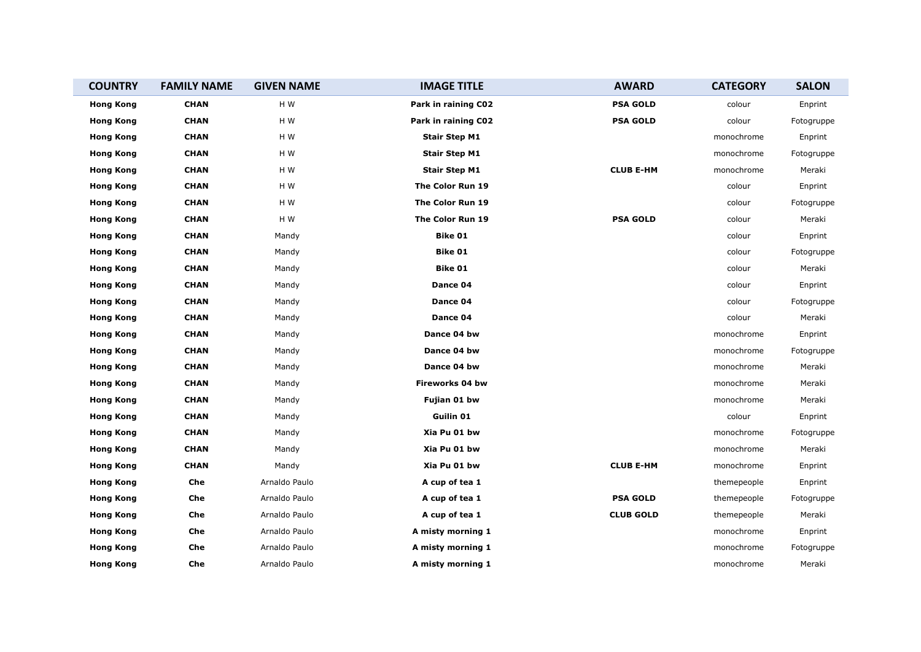| <b>COUNTRY</b>   | <b>FAMILY NAME</b> | <b>GIVEN NAME</b> | <b>IMAGE TITLE</b>   | <b>AWARD</b>     | <b>CATEGORY</b> | <b>SALON</b> |
|------------------|--------------------|-------------------|----------------------|------------------|-----------------|--------------|
| <b>Hong Kong</b> | <b>CHAN</b>        | H W               | Park in raining C02  | <b>PSA GOLD</b>  | colour          | Enprint      |
| <b>Hong Kong</b> | <b>CHAN</b>        | H W               | Park in raining C02  | <b>PSA GOLD</b>  | colour          | Fotogruppe   |
| <b>Hong Kong</b> | <b>CHAN</b>        | H W               | <b>Stair Step M1</b> |                  | monochrome      | Enprint      |
| <b>Hong Kong</b> | <b>CHAN</b>        | H W               | <b>Stair Step M1</b> |                  | monochrome      | Fotogruppe   |
| <b>Hong Kong</b> | <b>CHAN</b>        | H W               | <b>Stair Step M1</b> | <b>CLUB E-HM</b> | monochrome      | Meraki       |
| <b>Hong Kong</b> | <b>CHAN</b>        | H W               | The Color Run 19     |                  | colour          | Enprint      |
| <b>Hong Kong</b> | <b>CHAN</b>        | H W               | The Color Run 19     |                  | colour          | Fotogruppe   |
| <b>Hong Kong</b> | <b>CHAN</b>        | H W               | The Color Run 19     | <b>PSA GOLD</b>  | colour          | Meraki       |
| <b>Hong Kong</b> | <b>CHAN</b>        | Mandy             | Bike 01              |                  | colour          | Enprint      |
| <b>Hong Kong</b> | <b>CHAN</b>        | Mandy             | Bike 01              |                  | colour          | Fotogruppe   |
| <b>Hong Kong</b> | <b>CHAN</b>        | Mandy             | Bike 01              |                  | colour          | Meraki       |
| <b>Hong Kong</b> | <b>CHAN</b>        | Mandy             | Dance 04             |                  | colour          | Enprint      |
| <b>Hong Kong</b> | <b>CHAN</b>        | Mandy             | Dance 04             |                  | colour          | Fotogruppe   |
| <b>Hong Kong</b> | <b>CHAN</b>        | Mandy             | Dance 04             |                  | colour          | Meraki       |
| <b>Hong Kong</b> | <b>CHAN</b>        | Mandy             | Dance 04 bw          |                  | monochrome      | Enprint      |
| <b>Hong Kong</b> | <b>CHAN</b>        | Mandy             | Dance 04 bw          |                  | monochrome      | Fotogruppe   |
| <b>Hong Kong</b> | <b>CHAN</b>        | Mandy             | Dance 04 bw          |                  | monochrome      | Meraki       |
| <b>Hong Kong</b> | <b>CHAN</b>        | Mandy             | Fireworks 04 bw      |                  | monochrome      | Meraki       |
| <b>Hong Kong</b> | <b>CHAN</b>        | Mandy             | Fujian 01 bw         |                  | monochrome      | Meraki       |
| <b>Hong Kong</b> | <b>CHAN</b>        | Mandy             | Guilin 01            |                  | colour          | Enprint      |
| <b>Hong Kong</b> | <b>CHAN</b>        | Mandy             | Xia Pu 01 bw         |                  | monochrome      | Fotogruppe   |
| <b>Hong Kong</b> | <b>CHAN</b>        | Mandy             | Xia Pu 01 bw         |                  | monochrome      | Meraki       |
| <b>Hong Kong</b> | <b>CHAN</b>        | Mandy             | Xia Pu 01 bw         | <b>CLUB E-HM</b> | monochrome      | Enprint      |
| <b>Hong Kong</b> | Che                | Arnaldo Paulo     | A cup of tea 1       |                  | themepeople     | Enprint      |
| <b>Hong Kong</b> | Che                | Arnaldo Paulo     | A cup of tea 1       | <b>PSA GOLD</b>  | themepeople     | Fotogruppe   |
| <b>Hong Kong</b> | Che                | Arnaldo Paulo     | A cup of tea 1       | <b>CLUB GOLD</b> | themepeople     | Meraki       |
| <b>Hong Kong</b> | Che                | Arnaldo Paulo     | A misty morning 1    |                  | monochrome      | Enprint      |
| <b>Hong Kong</b> | Che                | Arnaldo Paulo     | A misty morning 1    |                  | monochrome      | Fotogruppe   |
| <b>Hong Kong</b> | Che                | Arnaldo Paulo     | A misty morning 1    |                  | monochrome      | Meraki       |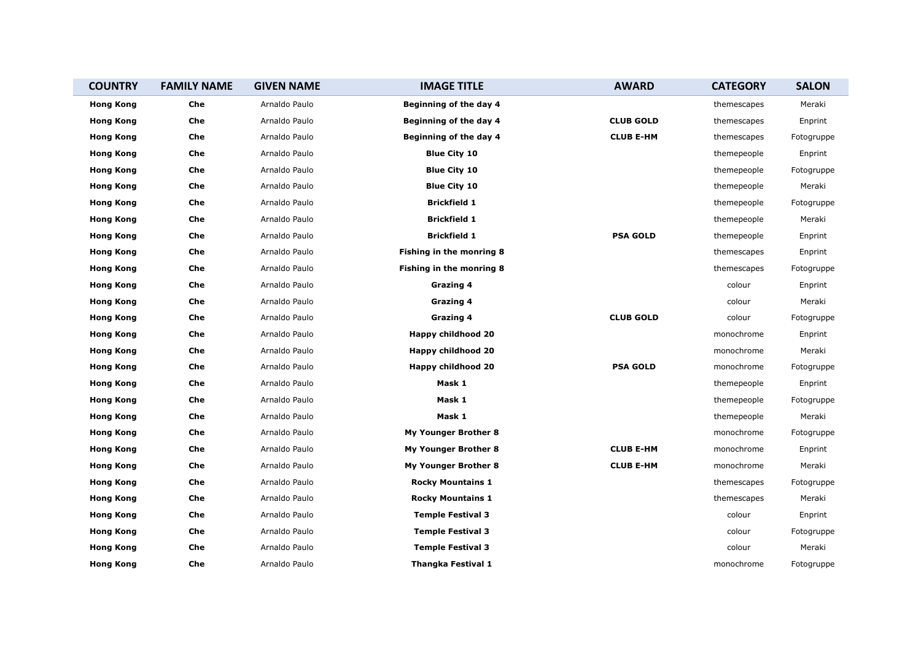| <b>COUNTRY</b>   | <b>FAMILY NAME</b> | <b>GIVEN NAME</b> | <b>IMAGE TITLE</b>              | <b>AWARD</b>     | <b>CATEGORY</b> | <b>SALON</b> |
|------------------|--------------------|-------------------|---------------------------------|------------------|-----------------|--------------|
| <b>Hong Kong</b> | Che                | Arnaldo Paulo     | Beginning of the day 4          |                  | themescapes     | Meraki       |
| <b>Hong Kong</b> | Che                | Arnaldo Paulo     | Beginning of the day 4          | <b>CLUB GOLD</b> | themescapes     | Enprint      |
| <b>Hong Kong</b> | Che                | Arnaldo Paulo     | Beginning of the day 4          | <b>CLUB E-HM</b> | themescapes     | Fotogruppe   |
| <b>Hong Kong</b> | Che                | Arnaldo Paulo     | <b>Blue City 10</b>             |                  | themepeople     | Enprint      |
| <b>Hong Kong</b> | Che                | Arnaldo Paulo     | <b>Blue City 10</b>             |                  | themepeople     | Fotogruppe   |
| <b>Hong Kong</b> | Che                | Arnaldo Paulo     | <b>Blue City 10</b>             |                  | themepeople     | Meraki       |
| <b>Hong Kong</b> | Che                | Arnaldo Paulo     | <b>Brickfield 1</b>             |                  | themepeople     | Fotogruppe   |
| <b>Hong Kong</b> | Che                | Arnaldo Paulo     | <b>Brickfield 1</b>             |                  | themepeople     | Meraki       |
| <b>Hong Kong</b> | Che                | Arnaldo Paulo     | <b>Brickfield 1</b>             | <b>PSA GOLD</b>  | themepeople     | Enprint      |
| <b>Hong Kong</b> | Che                | Arnaldo Paulo     | <b>Fishing in the monring 8</b> |                  | themescapes     | Enprint      |
| <b>Hong Kong</b> | Che                | Arnaldo Paulo     | <b>Fishing in the monring 8</b> |                  | themescapes     | Fotogruppe   |
| <b>Hong Kong</b> | Che                | Arnaldo Paulo     | Grazing 4                       |                  | colour          | Enprint      |
| <b>Hong Kong</b> | Che                | Arnaldo Paulo     | Grazing 4                       |                  | colour          | Meraki       |
| <b>Hong Kong</b> | Che                | Arnaldo Paulo     | Grazing 4                       | <b>CLUB GOLD</b> | colour          | Fotogruppe   |
| <b>Hong Kong</b> | Che                | Arnaldo Paulo     | Happy childhood 20              |                  | monochrome      | Enprint      |
| <b>Hong Kong</b> | Che                | Arnaldo Paulo     | Happy childhood 20              |                  | monochrome      | Meraki       |
| <b>Hong Kong</b> | Che                | Arnaldo Paulo     | Happy childhood 20              | <b>PSA GOLD</b>  | monochrome      | Fotogruppe   |
| <b>Hong Kong</b> | Che                | Arnaldo Paulo     | Mask 1                          |                  | themepeople     | Enprint      |
| <b>Hong Kong</b> | Che                | Arnaldo Paulo     | Mask 1                          |                  | themepeople     | Fotogruppe   |
| <b>Hong Kong</b> | Che                | Arnaldo Paulo     | Mask 1                          |                  | themepeople     | Meraki       |
| <b>Hong Kong</b> | Che                | Arnaldo Paulo     | My Younger Brother 8            |                  | monochrome      | Fotogruppe   |
| <b>Hong Kong</b> | Che                | Arnaldo Paulo     | My Younger Brother 8            | <b>CLUB E-HM</b> | monochrome      | Enprint      |
| <b>Hong Kong</b> | Che                | Arnaldo Paulo     | My Younger Brother 8            | <b>CLUB E-HM</b> | monochrome      | Meraki       |
| <b>Hong Kong</b> | Che                | Arnaldo Paulo     | <b>Rocky Mountains 1</b>        |                  | themescapes     | Fotogruppe   |
| <b>Hong Kong</b> | Che                | Arnaldo Paulo     | <b>Rocky Mountains 1</b>        |                  | themescapes     | Meraki       |
| <b>Hong Kong</b> | Che                | Arnaldo Paulo     | <b>Temple Festival 3</b>        |                  | colour          | Enprint      |
| <b>Hong Kong</b> | Che                | Arnaldo Paulo     | <b>Temple Festival 3</b>        |                  | colour          | Fotogruppe   |
| <b>Hong Kong</b> | Che                | Arnaldo Paulo     | <b>Temple Festival 3</b>        |                  | colour          | Meraki       |
| <b>Hong Kong</b> | Che                | Arnaldo Paulo     | Thangka Festival 1              |                  | monochrome      | Fotogruppe   |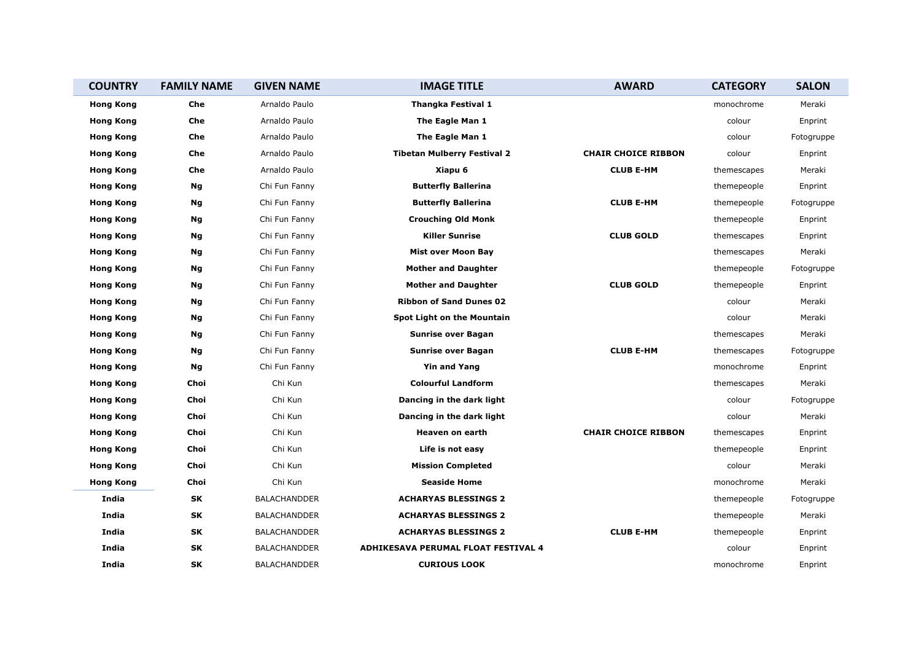| <b>COUNTRY</b>   | <b>FAMILY NAME</b> | <b>GIVEN NAME</b>   | <b>IMAGE TITLE</b>                  | <b>AWARD</b>               | <b>CATEGORY</b> | <b>SALON</b> |
|------------------|--------------------|---------------------|-------------------------------------|----------------------------|-----------------|--------------|
| <b>Hong Kong</b> | Che                | Arnaldo Paulo       | <b>Thangka Festival 1</b>           |                            | monochrome      | Meraki       |
| <b>Hong Kong</b> | Che                | Arnaldo Paulo       | The Eagle Man 1                     |                            | colour          | Enprint      |
| <b>Hong Kong</b> | Che                | Arnaldo Paulo       | The Eagle Man 1                     |                            | colour          | Fotogruppe   |
| <b>Hong Kong</b> | Che                | Arnaldo Paulo       | <b>Tibetan Mulberry Festival 2</b>  | <b>CHAIR CHOICE RIBBON</b> | colour          | Enprint      |
| <b>Hong Kong</b> | Che                | Arnaldo Paulo       | Xiapu 6                             | <b>CLUB E-HM</b>           | themescapes     | Meraki       |
| <b>Hong Kong</b> | Ng                 | Chi Fun Fanny       | <b>Butterfly Ballerina</b>          |                            | themepeople     | Enprint      |
| <b>Hong Kong</b> | Ng                 | Chi Fun Fanny       | <b>Butterfly Ballerina</b>          | <b>CLUB E-HM</b>           | themepeople     | Fotogruppe   |
| <b>Hong Kong</b> | Ng                 | Chi Fun Fanny       | <b>Crouching Old Monk</b>           |                            | themepeople     | Enprint      |
| <b>Hong Kong</b> | Ng                 | Chi Fun Fanny       | <b>Killer Sunrise</b>               | <b>CLUB GOLD</b>           | themescapes     | Enprint      |
| <b>Hong Kong</b> | Ng                 | Chi Fun Fanny       | <b>Mist over Moon Bay</b>           |                            | themescapes     | Meraki       |
| <b>Hong Kong</b> | Ng                 | Chi Fun Fanny       | <b>Mother and Daughter</b>          |                            | themepeople     | Fotogruppe   |
| <b>Hong Kong</b> | Ng                 | Chi Fun Fanny       | <b>Mother and Daughter</b>          | <b>CLUB GOLD</b>           | themepeople     | Enprint      |
| <b>Hong Kong</b> | Ng                 | Chi Fun Fanny       | <b>Ribbon of Sand Dunes 02</b>      |                            | colour          | Meraki       |
| <b>Hong Kong</b> | Ng                 | Chi Fun Fanny       | <b>Spot Light on the Mountain</b>   |                            | colour          | Meraki       |
| <b>Hong Kong</b> | Ng                 | Chi Fun Fanny       | <b>Sunrise over Bagan</b>           |                            | themescapes     | Meraki       |
| <b>Hong Kong</b> | Ng                 | Chi Fun Fanny       | <b>Sunrise over Bagan</b>           | <b>CLUB E-HM</b>           | themescapes     | Fotogruppe   |
| <b>Hong Kong</b> | Ng                 | Chi Fun Fanny       | <b>Yin and Yang</b>                 |                            | monochrome      | Enprint      |
| <b>Hong Kong</b> | Choi               | Chi Kun             | <b>Colourful Landform</b>           |                            | themescapes     | Meraki       |
| <b>Hong Kong</b> | Choi               | Chi Kun             | Dancing in the dark light           |                            | colour          | Fotogruppe   |
| <b>Hong Kong</b> | Choi               | Chi Kun             | Dancing in the dark light           |                            | colour          | Meraki       |
| <b>Hong Kong</b> | Choi               | Chi Kun             | Heaven on earth                     | <b>CHAIR CHOICE RIBBON</b> | themescapes     | Enprint      |
| <b>Hong Kong</b> | Choi               | Chi Kun             | Life is not easy                    |                            | themepeople     | Enprint      |
| <b>Hong Kong</b> | Choi               | Chi Kun             | <b>Mission Completed</b>            |                            | colour          | Meraki       |
| <b>Hong Kong</b> | Choi               | Chi Kun             | <b>Seaside Home</b>                 |                            | monochrome      | Meraki       |
| India            | SK                 | <b>BALACHANDDER</b> | <b>ACHARYAS BLESSINGS 2</b>         |                            | themepeople     | Fotogruppe   |
| India            | SΚ                 | <b>BALACHANDDER</b> | <b>ACHARYAS BLESSINGS 2</b>         |                            | themepeople     | Meraki       |
| India            | SK                 | <b>BALACHANDDER</b> | <b>ACHARYAS BLESSINGS 2</b>         | <b>CLUB E-HM</b>           | themepeople     | Enprint      |
| India            | SK                 | <b>BALACHANDDER</b> | ADHIKESAVA PERUMAL FLOAT FESTIVAL 4 |                            | colour          | Enprint      |
| India            | SK                 | BALACHANDDER        | <b>CURIOUS LOOK</b>                 |                            | monochrome      | Enprint      |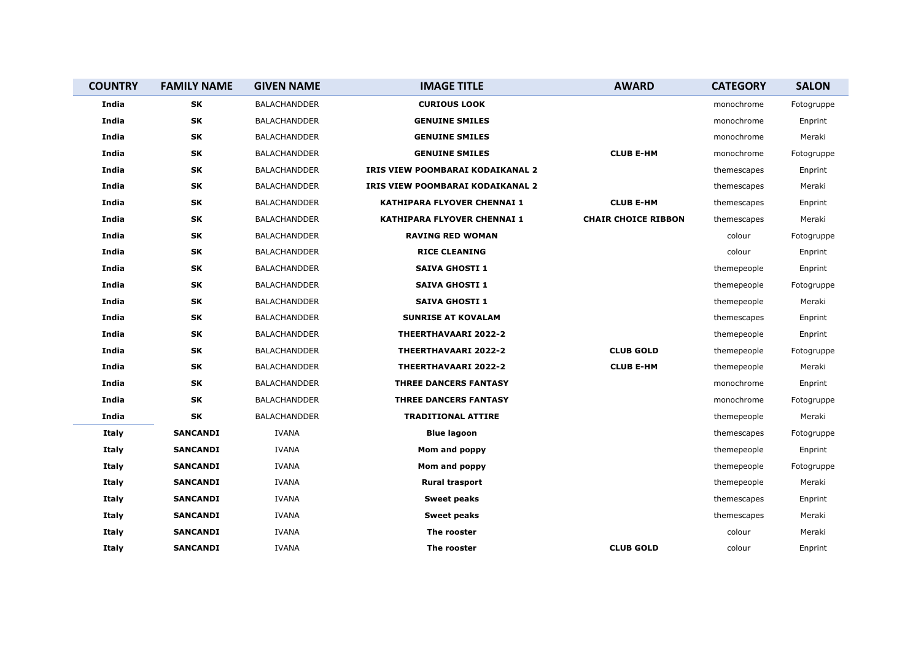| <b>COUNTRY</b> | <b>FAMILY NAME</b> | <b>GIVEN NAME</b>   | <b>IMAGE TITLE</b>                      | <b>AWARD</b>               | <b>CATEGORY</b> | <b>SALON</b> |
|----------------|--------------------|---------------------|-----------------------------------------|----------------------------|-----------------|--------------|
| India          | SK                 | <b>BALACHANDDER</b> | <b>CURIOUS LOOK</b>                     |                            | monochrome      | Fotogruppe   |
| India          | <b>SK</b>          | <b>BALACHANDDER</b> | <b>GENUINE SMILES</b>                   |                            | monochrome      | Enprint      |
| India          | SK                 | <b>BALACHANDDER</b> | <b>GENUINE SMILES</b>                   |                            | monochrome      | Meraki       |
| India          | SK                 | <b>BALACHANDDER</b> | <b>GENUINE SMILES</b>                   | <b>CLUB E-HM</b>           | monochrome      | Fotogruppe   |
| India          | SK                 | <b>BALACHANDDER</b> | <b>IRIS VIEW POOMBARAI KODAIKANAL 2</b> |                            | themescapes     | Enprint      |
| India          | SK                 | <b>BALACHANDDER</b> | IRIS VIEW POOMBARAI KODAIKANAL 2        |                            | themescapes     | Meraki       |
| India          | <b>SK</b>          | BALACHANDDER        | KATHIPARA FLYOVER CHENNAI 1             | <b>CLUB E-HM</b>           | themescapes     | Enprint      |
| India          | SK                 | <b>BALACHANDDER</b> | <b>KATHIPARA FLYOVER CHENNAI 1</b>      | <b>CHAIR CHOICE RIBBON</b> | themescapes     | Meraki       |
| India          | SK                 | <b>BALACHANDDER</b> | <b>RAVING RED WOMAN</b>                 |                            | colour          | Fotogruppe   |
| India          | SK                 | BALACHANDDER        | <b>RICE CLEANING</b>                    |                            | colour          | Enprint      |
| India          | SK                 | <b>BALACHANDDER</b> | <b>SAIVA GHOSTI 1</b>                   |                            | themepeople     | Enprint      |
| India          | <b>SK</b>          | <b>BALACHANDDER</b> | <b>SAIVA GHOSTI 1</b>                   |                            | themepeople     | Fotogruppe   |
| India          | SK                 | <b>BALACHANDDER</b> | <b>SAIVA GHOSTI 1</b>                   |                            | themepeople     | Meraki       |
| India          | SK                 | <b>BALACHANDDER</b> | <b>SUNRISE AT KOVALAM</b>               |                            | themescapes     | Enprint      |
| India          | <b>SK</b>          | BALACHANDDER        | <b>THEERTHAVAARI 2022-2</b>             |                            | themepeople     | Enprint      |
| India          | SK                 | <b>BALACHANDDER</b> | <b>THEERTHAVAARI 2022-2</b>             | <b>CLUB GOLD</b>           | themepeople     | Fotogruppe   |
| India          | SK                 | BALACHANDDER        | <b>THEERTHAVAARI 2022-2</b>             | <b>CLUB E-HM</b>           | themepeople     | Meraki       |
| India          | SK                 | <b>BALACHANDDER</b> | <b>THREE DANCERS FANTASY</b>            |                            | monochrome      | Enprint      |
| India          | SK                 | <b>BALACHANDDER</b> | <b>THREE DANCERS FANTASY</b>            |                            | monochrome      | Fotogruppe   |
| India          | <b>SK</b>          | BALACHANDDER        | <b>TRADITIONAL ATTIRE</b>               |                            | themepeople     | Meraki       |
| Italy          | <b>SANCANDI</b>    | <b>IVANA</b>        | <b>Blue lagoon</b>                      |                            | themescapes     | Fotogruppe   |
| <b>Italy</b>   | <b>SANCANDI</b>    | <b>IVANA</b>        | Mom and poppy                           |                            | themepeople     | Enprint      |
| Italy          | <b>SANCANDI</b>    | <b>IVANA</b>        | Mom and poppy                           |                            | themepeople     | Fotogruppe   |
| Italy          | <b>SANCANDI</b>    | <b>IVANA</b>        | <b>Rural trasport</b>                   |                            | themepeople     | Meraki       |
| <b>Italy</b>   | <b>SANCANDI</b>    | <b>IVANA</b>        | <b>Sweet peaks</b>                      |                            | themescapes     | Enprint      |
| Italy          | <b>SANCANDI</b>    | <b>IVANA</b>        | <b>Sweet peaks</b>                      |                            | themescapes     | Meraki       |
| Italy          | <b>SANCANDI</b>    | <b>IVANA</b>        | The rooster                             |                            | colour          | Meraki       |
| Italy          | <b>SANCANDI</b>    | <b>IVANA</b>        | The rooster                             | <b>CLUB GOLD</b>           | colour          | Enprint      |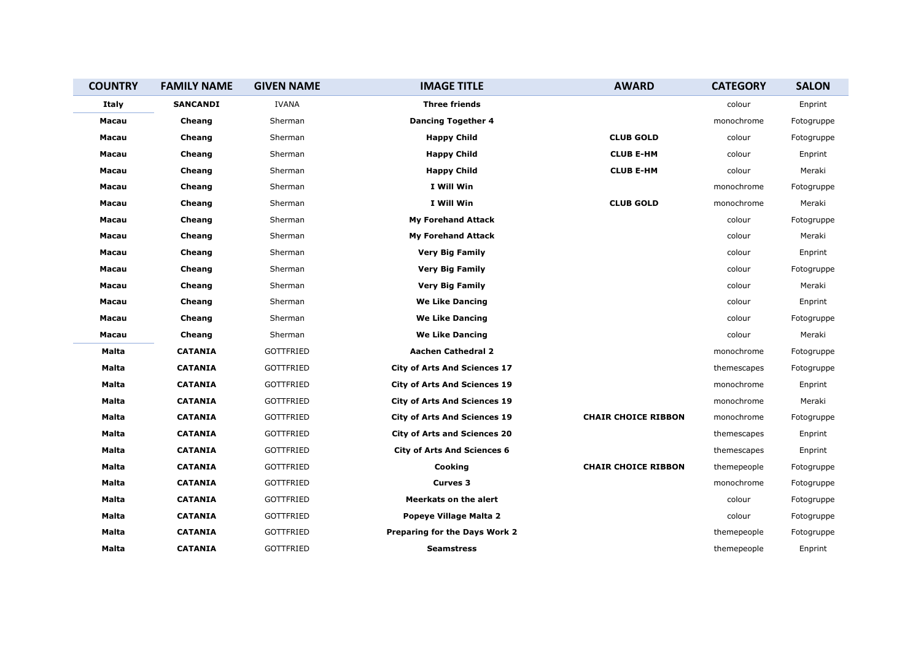| <b>COUNTRY</b> | <b>FAMILY NAME</b> | <b>GIVEN NAME</b> | <b>IMAGE TITLE</b>                  | <b>AWARD</b>               | <b>CATEGORY</b> | <b>SALON</b> |
|----------------|--------------------|-------------------|-------------------------------------|----------------------------|-----------------|--------------|
| Italy          | <b>SANCANDI</b>    | <b>IVANA</b>      | <b>Three friends</b>                |                            | colour          | Enprint      |
| Macau          | Cheang             | Sherman           | <b>Dancing Together 4</b>           |                            | monochrome      | Fotogruppe   |
| Macau          | Cheang             | Sherman           | <b>Happy Child</b>                  | <b>CLUB GOLD</b>           | colour          | Fotogruppe   |
| Macau          | Cheang             | Sherman           | <b>Happy Child</b>                  | <b>CLUB E-HM</b>           | colour          | Enprint      |
| Macau          | Cheang             | Sherman           | <b>Happy Child</b>                  | <b>CLUB E-HM</b>           | colour          | Meraki       |
| Macau          | Cheang             | Sherman           | I Will Win                          |                            | monochrome      | Fotogruppe   |
| Macau          | Cheang             | Sherman           | I Will Win                          | <b>CLUB GOLD</b>           | monochrome      | Meraki       |
| Macau          | Cheang             | Sherman           | <b>My Forehand Attack</b>           |                            | colour          | Fotogruppe   |
| Macau          | Cheang             | Sherman           | <b>My Forehand Attack</b>           |                            | colour          | Meraki       |
| Macau          | Cheang             | Sherman           | <b>Very Big Family</b>              |                            | colour          | Enprint      |
| Macau          | Cheang             | Sherman           | <b>Very Big Family</b>              |                            | colour          | Fotogruppe   |
| Macau          | Cheang             | Sherman           | <b>Very Big Family</b>              |                            | colour          | Meraki       |
| Macau          | Cheang             | Sherman           | <b>We Like Dancing</b>              |                            | colour          | Enprint      |
| Macau          | Cheang             | Sherman           | <b>We Like Dancing</b>              |                            | colour          | Fotogruppe   |
| Macau          | Cheang             | Sherman           | <b>We Like Dancing</b>              |                            | colour          | Meraki       |
| Malta          | <b>CATANIA</b>     | <b>GOTTFRIED</b>  | <b>Aachen Cathedral 2</b>           |                            | monochrome      | Fotogruppe   |
| Malta          | <b>CATANIA</b>     | <b>GOTTFRIED</b>  | <b>City of Arts And Sciences 17</b> |                            | themescapes     | Fotogruppe   |
| Malta          | <b>CATANIA</b>     | <b>GOTTFRIED</b>  | <b>City of Arts And Sciences 19</b> |                            | monochrome      | Enprint      |
| Malta          | <b>CATANIA</b>     | <b>GOTTFRIED</b>  | <b>City of Arts And Sciences 19</b> |                            | monochrome      | Meraki       |
| Malta          | <b>CATANIA</b>     | <b>GOTTFRIED</b>  | <b>City of Arts And Sciences 19</b> | <b>CHAIR CHOICE RIBBON</b> | monochrome      | Fotogruppe   |
| Malta          | <b>CATANIA</b>     | <b>GOTTFRIED</b>  | <b>City of Arts and Sciences 20</b> |                            | themescapes     | Enprint      |
| Malta          | <b>CATANIA</b>     | <b>GOTTFRIED</b>  | <b>City of Arts And Sciences 6</b>  |                            | themescapes     | Enprint      |
| Malta          | <b>CATANIA</b>     | <b>GOTTFRIED</b>  | Cooking                             | <b>CHAIR CHOICE RIBBON</b> | themepeople     | Fotogruppe   |
| Malta          | <b>CATANIA</b>     | <b>GOTTFRIED</b>  | <b>Curves 3</b>                     |                            | monochrome      | Fotogruppe   |
| Malta          | <b>CATANIA</b>     | <b>GOTTFRIED</b>  | <b>Meerkats on the alert</b>        |                            | colour          | Fotogruppe   |
| Malta          | <b>CATANIA</b>     | <b>GOTTFRIED</b>  | Popeye Village Malta 2              |                            | colour          | Fotogruppe   |
| <b>Malta</b>   | <b>CATANIA</b>     | <b>GOTTFRIED</b>  | Preparing for the Days Work 2       |                            | themepeople     | Fotogruppe   |
| Malta          | <b>CATANIA</b>     | <b>GOTTFRIED</b>  | <b>Seamstress</b>                   |                            | themepeople     | Enprint      |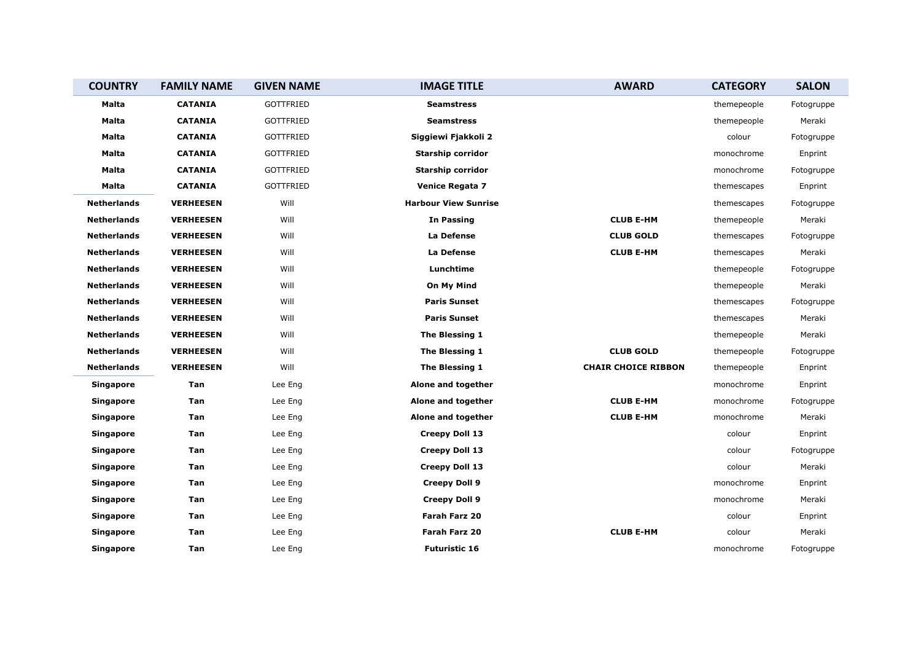| <b>COUNTRY</b>     | <b>FAMILY NAME</b> | <b>GIVEN NAME</b> | <b>IMAGE TITLE</b>          | <b>AWARD</b>               | <b>CATEGORY</b> | <b>SALON</b> |
|--------------------|--------------------|-------------------|-----------------------------|----------------------------|-----------------|--------------|
| Malta              | <b>CATANIA</b>     | GOTTFRIED         | <b>Seamstress</b>           |                            | themepeople     | Fotogruppe   |
| Malta              | <b>CATANIA</b>     | <b>GOTTFRIED</b>  | <b>Seamstress</b>           |                            | themepeople     | Meraki       |
| Malta              | <b>CATANIA</b>     | GOTTFRIED         | Siggiewi Fjakkoli 2         |                            | colour          | Fotogruppe   |
| <b>Malta</b>       | <b>CATANIA</b>     | <b>GOTTFRIED</b>  | <b>Starship corridor</b>    |                            | monochrome      | Enprint      |
| Malta              | <b>CATANIA</b>     | GOTTFRIED         | Starship corridor           |                            | monochrome      | Fotogruppe   |
| Malta              | <b>CATANIA</b>     | GOTTFRIED         | <b>Venice Regata 7</b>      |                            | themescapes     | Enprint      |
| <b>Netherlands</b> | <b>VERHEESEN</b>   | Will              | <b>Harbour View Sunrise</b> |                            | themescapes     | Fotogruppe   |
| <b>Netherlands</b> | <b>VERHEESEN</b>   | Will              | <b>In Passing</b>           | <b>CLUB E-HM</b>           | themepeople     | Meraki       |
| <b>Netherlands</b> | <b>VERHEESEN</b>   | Will              | La Defense                  | <b>CLUB GOLD</b>           | themescapes     | Fotogruppe   |
| <b>Netherlands</b> | <b>VERHEESEN</b>   | Will              | La Defense                  | <b>CLUB E-HM</b>           | themescapes     | Meraki       |
| <b>Netherlands</b> | <b>VERHEESEN</b>   | Will              | Lunchtime                   |                            | themepeople     | Fotogruppe   |
| <b>Netherlands</b> | <b>VERHEESEN</b>   | Will              | On My Mind                  |                            | themepeople     | Meraki       |
| <b>Netherlands</b> | <b>VERHEESEN</b>   | Will              | <b>Paris Sunset</b>         |                            | themescapes     | Fotogruppe   |
| <b>Netherlands</b> | <b>VERHEESEN</b>   | Will              | <b>Paris Sunset</b>         |                            | themescapes     | Meraki       |
| <b>Netherlands</b> | <b>VERHEESEN</b>   | Will              | The Blessing 1              |                            | themepeople     | Meraki       |
| <b>Netherlands</b> | <b>VERHEESEN</b>   | Will              | The Blessing 1              | <b>CLUB GOLD</b>           | themepeople     | Fotogruppe   |
| Netherlands        | <b>VERHEESEN</b>   | Will              | The Blessing 1              | <b>CHAIR CHOICE RIBBON</b> | themepeople     | Enprint      |
| <b>Singapore</b>   | Tan                | Lee Eng           | Alone and together          |                            | monochrome      | Enprint      |
| <b>Singapore</b>   | Tan                | Lee Eng           | Alone and together          | <b>CLUB E-HM</b>           | monochrome      | Fotogruppe   |
| <b>Singapore</b>   | Tan                | Lee Eng           | Alone and together          | <b>CLUB E-HM</b>           | monochrome      | Meraki       |
| <b>Singapore</b>   | Tan                | Lee Eng           | <b>Creepy Doll 13</b>       |                            | colour          | Enprint      |
| <b>Singapore</b>   | Tan                | Lee Eng           | Creepy Doll 13              |                            | colour          | Fotogruppe   |
| <b>Singapore</b>   | Tan                | Lee Eng           | Creepy Doll 13              |                            | colour          | Meraki       |
| <b>Singapore</b>   | Tan                | Lee Eng           | <b>Creepy Doll 9</b>        |                            | monochrome      | Enprint      |
| <b>Singapore</b>   | Tan                | Lee Eng           | <b>Creepy Doll 9</b>        |                            | monochrome      | Meraki       |
| <b>Singapore</b>   | Tan                | Lee Eng           | Farah Farz 20               |                            | colour          | Enprint      |
| <b>Singapore</b>   | Tan                | Lee Eng           | Farah Farz 20               | <b>CLUB E-HM</b>           | colour          | Meraki       |
| <b>Singapore</b>   | Tan                | Lee Eng           | <b>Futuristic 16</b>        |                            | monochrome      | Fotogruppe   |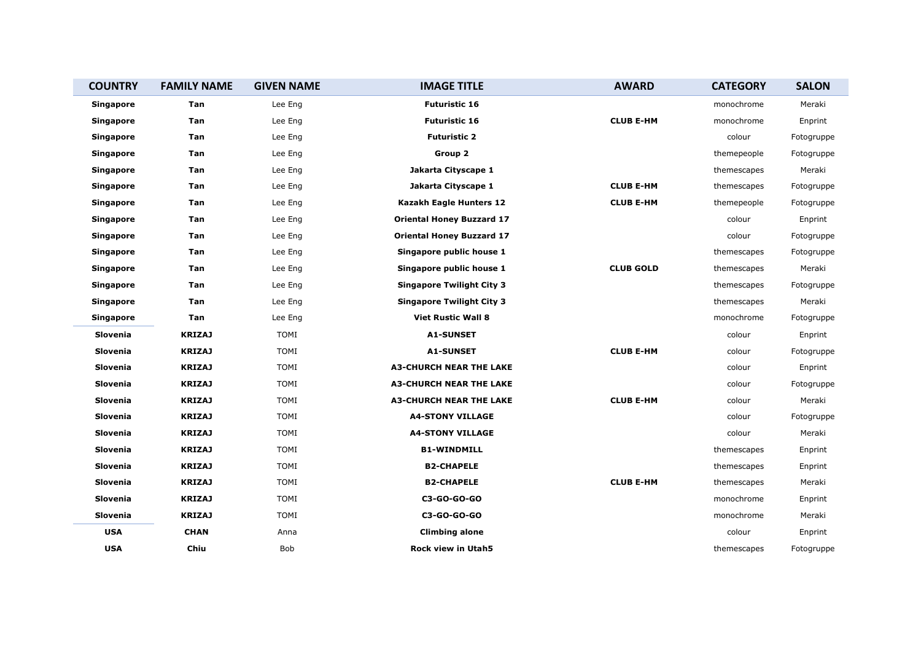| <b>COUNTRY</b>   | <b>FAMILY NAME</b> | <b>GIVEN NAME</b> | <b>IMAGE TITLE</b>               | <b>AWARD</b>     | <b>CATEGORY</b> | <b>SALON</b> |
|------------------|--------------------|-------------------|----------------------------------|------------------|-----------------|--------------|
| <b>Singapore</b> | Tan                | Lee Eng           | <b>Futuristic 16</b>             |                  | monochrome      | Meraki       |
| <b>Singapore</b> | Tan                | Lee Eng           | <b>Futuristic 16</b>             | <b>CLUB E-HM</b> | monochrome      | Enprint      |
| Singapore        | Tan                | Lee Eng           | <b>Futuristic 2</b>              |                  | colour          | Fotogruppe   |
| <b>Singapore</b> | Tan                | Lee Eng           | Group 2                          |                  | themepeople     | Fotogruppe   |
| <b>Singapore</b> | Tan                | Lee Eng           | Jakarta Cityscape 1              |                  | themescapes     | Meraki       |
| <b>Singapore</b> | Tan                | Lee Eng           | Jakarta Cityscape 1              | <b>CLUB E-HM</b> | themescapes     | Fotogruppe   |
| <b>Singapore</b> | Tan                | Lee Eng           | Kazakh Eagle Hunters 12          | <b>CLUB E-HM</b> | themepeople     | Fotogruppe   |
| <b>Singapore</b> | Tan                | Lee Eng           | <b>Oriental Honey Buzzard 17</b> |                  | colour          | Enprint      |
| <b>Singapore</b> | Tan                | Lee Eng           | <b>Oriental Honey Buzzard 17</b> |                  | colour          | Fotogruppe   |
| <b>Singapore</b> | Tan                | Lee Eng           | Singapore public house 1         |                  | themescapes     | Fotogruppe   |
| <b>Singapore</b> | Tan                | Lee Eng           | Singapore public house 1         | <b>CLUB GOLD</b> | themescapes     | Meraki       |
| <b>Singapore</b> | Tan                | Lee Eng           | <b>Singapore Twilight City 3</b> |                  | themescapes     | Fotogruppe   |
| <b>Singapore</b> | Tan                | Lee Eng           | <b>Singapore Twilight City 3</b> |                  | themescapes     | Meraki       |
| <b>Singapore</b> | Tan                | Lee Eng           | <b>Viet Rustic Wall 8</b>        |                  | monochrome      | Fotogruppe   |
| Slovenia         | <b>KRIZAJ</b>      | <b>TOMI</b>       | <b>A1-SUNSET</b>                 |                  | colour          | Enprint      |
| Slovenia         | <b>KRIZAJ</b>      | <b>TOMI</b>       | <b>A1-SUNSET</b>                 | <b>CLUB E-HM</b> | colour          | Fotogruppe   |
| Slovenia         | <b>KRIZAJ</b>      | <b>TOMI</b>       | <b>A3-CHURCH NEAR THE LAKE</b>   |                  | colour          | Enprint      |
| Slovenia         | <b>KRIZAJ</b>      | <b>TOMI</b>       | <b>A3-CHURCH NEAR THE LAKE</b>   |                  | colour          | Fotogruppe   |
| Slovenia         | <b>KRIZAJ</b>      | <b>TOMI</b>       | <b>A3-CHURCH NEAR THE LAKE</b>   | <b>CLUB E-HM</b> | colour          | Meraki       |
| Slovenia         | <b>KRIZAJ</b>      | <b>TOMI</b>       | <b>A4-STONY VILLAGE</b>          |                  | colour          | Fotogruppe   |
| Slovenia         | <b>KRIZAJ</b>      | <b>TOMI</b>       | <b>A4-STONY VILLAGE</b>          |                  | colour          | Meraki       |
| Slovenia         | <b>KRIZAJ</b>      | <b>TOMI</b>       | <b>B1-WINDMILL</b>               |                  | themescapes     | Enprint      |
| Slovenia         | <b>KRIZAJ</b>      | TOMI              | <b>B2-CHAPELE</b>                |                  | themescapes     | Enprint      |
| Slovenia         | <b>KRIZAJ</b>      | <b>TOMI</b>       | <b>B2-CHAPELE</b>                | <b>CLUB E-HM</b> | themescapes     | Meraki       |
| Slovenia         | <b>KRIZAJ</b>      | <b>TOMI</b>       | C3-GO-GO-GO                      |                  | monochrome      | Enprint      |
| Slovenia         | <b>KRIZAJ</b>      | <b>TOMI</b>       | C3-GO-GO-GO                      |                  | monochrome      | Meraki       |
| <b>USA</b>       | <b>CHAN</b>        | Anna              | <b>Climbing alone</b>            |                  | colour          | Enprint      |
| <b>USA</b>       | Chiu               | Bob               | Rock view in Utah5               |                  | themescapes     | Fotogruppe   |